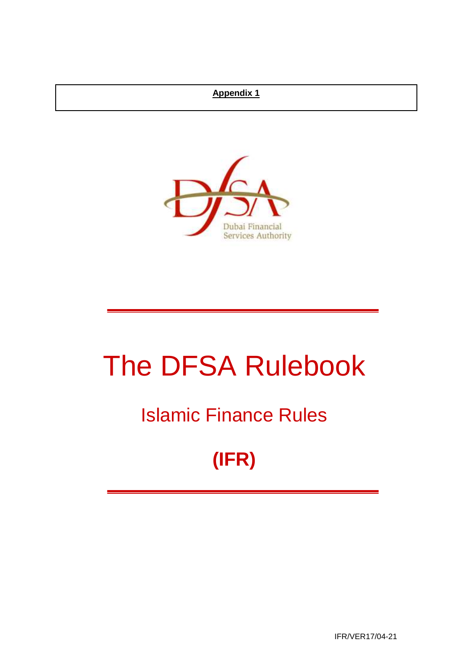## **Appendix 1**



# The DFSA Rulebook

## Islamic Finance Rules

## **(IFR)**

IFR/VER17/04-21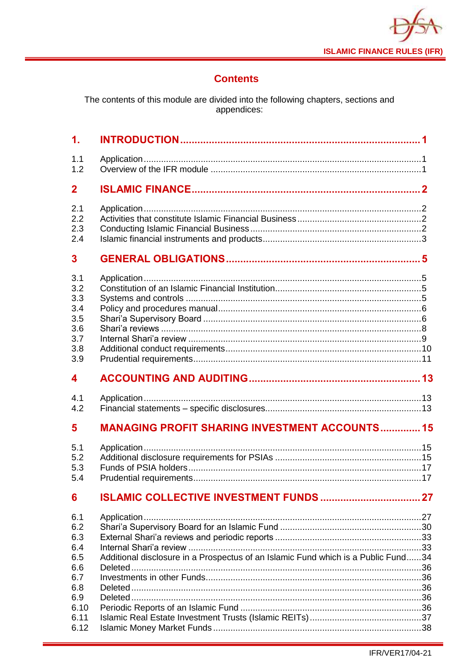

## **Contents**

The contents of this module are divided into the following chapters, sections and<br>appendices:

| $\mathbf 1$ .                                               |                                                       |  |
|-------------------------------------------------------------|-------------------------------------------------------|--|
| 1.1<br>1.2                                                  |                                                       |  |
| $\mathbf 2$                                                 |                                                       |  |
| 2.1<br>2.2<br>2.3<br>2.4                                    |                                                       |  |
| 3                                                           |                                                       |  |
| 3.1<br>3.2<br>3.3<br>3.4<br>3.5<br>3.6<br>3.7<br>3.8<br>3.9 |                                                       |  |
| 4                                                           |                                                       |  |
|                                                             |                                                       |  |
| 4.1<br>4.2                                                  |                                                       |  |
| 5                                                           | <b>MANAGING PROFIT SHARING INVESTMENT ACCOUNTS 15</b> |  |
| 5.1<br>5.2<br>5.3<br>5.4                                    |                                                       |  |
| 6                                                           | <b>ISLAMIC COLLECTIVE INVESTMENT FUNDS  27</b>        |  |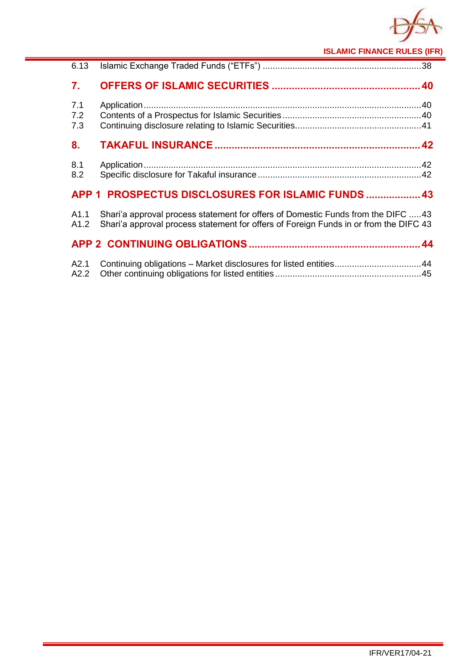

**ISLAMIC FINANCE RULES (IFR)**

| 6.13              |                                                                                                                                                                           |  |
|-------------------|---------------------------------------------------------------------------------------------------------------------------------------------------------------------------|--|
| 7.                |                                                                                                                                                                           |  |
| 7.1<br>7.2<br>7.3 |                                                                                                                                                                           |  |
| 8.                |                                                                                                                                                                           |  |
| 8.1<br>8.2        |                                                                                                                                                                           |  |
|                   | APP 1 PROSPECTUS DISCLOSURES FOR ISLAMIC FUNDS  43                                                                                                                        |  |
| A1.1<br>A1.2      | Shari'a approval process statement for offers of Domestic Funds from the DIFC 43<br>Shari'a approval process statement for offers of Foreign Funds in or from the DIFC 43 |  |
|                   |                                                                                                                                                                           |  |
| A2.1<br>A2.2      | Continuing obligations - Market disclosures for listed entities44                                                                                                         |  |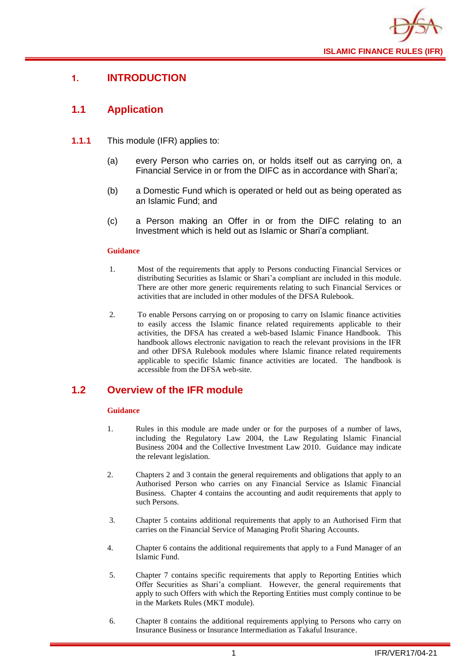

## <span id="page-3-0"></span>**1. INTRODUCTION**

## <span id="page-3-1"></span>**1.1 Application**

- **1.1.1** This module (IFR) applies to:
	- (a) every Person who carries on, or holds itself out as carrying on, a Financial Service in or from the DIFC as in accordance with Shari'a;
	- (b) a Domestic Fund which is operated or held out as being operated as an Islamic Fund; and
	- (c) a Person making an Offer in or from the DIFC relating to an Investment which is held out as Islamic or Shari'a compliant.

#### **Guidance**

- 1. Most of the requirements that apply to Persons conducting Financial Services or distributing Securities as Islamic or Shari'a compliant are included in this module. There are other more generic requirements relating to such Financial Services or activities that are included in other modules of the DFSA Rulebook.
- 2. To enable Persons carrying on or proposing to carry on Islamic finance activities to easily access the Islamic finance related requirements applicable to their activities, the DFSA has created a web-based Islamic Finance Handbook. This handbook allows electronic navigation to reach the relevant provisions in the IFR and other DFSA Rulebook modules where Islamic finance related requirements applicable to specific Islamic finance activities are located. The handbook is accessible from the DFSA web-site.

## <span id="page-3-2"></span>**1.2 Overview of the IFR module**

- 1. Rules in this module are made under or for the purposes of a number of laws, including the Regulatory Law 2004, the Law Regulating Islamic Financial Business 2004 and the Collective Investment Law 2010. Guidance may indicate the relevant legislation.
- 2. Chapters 2 and 3 contain the general requirements and obligations that apply to an Authorised Person who carries on any Financial Service as Islamic Financial Business. Chapter 4 contains the accounting and audit requirements that apply to such Persons.
- 3. Chapter 5 contains additional requirements that apply to an Authorised Firm that carries on the Financial Service of Managing Profit Sharing Accounts.
- 4. Chapter 6 contains the additional requirements that apply to a Fund Manager of an Islamic Fund.
- 5. Chapter 7 contains specific requirements that apply to Reporting Entities which Offer Securities as Shari'a compliant. However, the general requirements that apply to such Offers with which the Reporting Entities must comply continue to be in the Markets Rules (MKT module).
- 6. Chapter 8 contains the additional requirements applying to Persons who carry on Insurance Business or Insurance Intermediation as Takaful Insurance.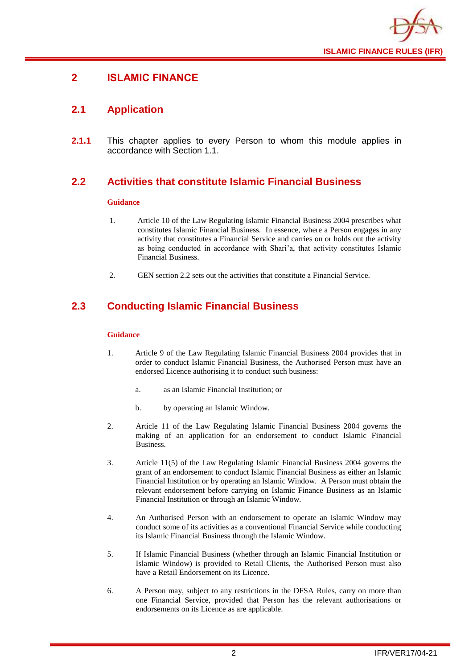

## <span id="page-4-0"></span>**2 ISLAMIC FINANCE**

## <span id="page-4-1"></span>**2.1 Application**

**2.1.1** This chapter applies to every Person to whom this module applies in accordance with Section 1.1.

## <span id="page-4-2"></span>**2.2 Activities that constitute Islamic Financial Business**

#### **Guidance**

- 1. Article 10 of the Law Regulating Islamic Financial Business 2004 prescribes what constitutes Islamic Financial Business. In essence, where a Person engages in any activity that constitutes a Financial Service and carries on or holds out the activity as being conducted in accordance with Shari'a, that activity constitutes Islamic Financial Business.
- 2. GEN section 2.2 sets out the activities that constitute a Financial Service.

## <span id="page-4-3"></span>**2.3 Conducting Islamic Financial Business**

- 1. Article 9 of the Law Regulating Islamic Financial Business 2004 provides that in order to conduct Islamic Financial Business, the Authorised Person must have an endorsed Licence authorising it to conduct such business:
	- a. as an Islamic Financial Institution; or
	- b. by operating an Islamic Window.
- 2. Article 11 of the Law Regulating Islamic Financial Business 2004 governs the making of an application for an endorsement to conduct Islamic Financial Business.
- 3. Article 11(5) of the Law Regulating Islamic Financial Business 2004 governs the grant of an endorsement to conduct Islamic Financial Business as either an Islamic Financial Institution or by operating an Islamic Window. A Person must obtain the relevant endorsement before carrying on Islamic Finance Business as an Islamic Financial Institution or through an Islamic Window.
- 4. An Authorised Person with an endorsement to operate an Islamic Window may conduct some of its activities as a conventional Financial Service while conducting its Islamic Financial Business through the Islamic Window.
- 5. If Islamic Financial Business (whether through an Islamic Financial Institution or Islamic Window) is provided to Retail Clients, the Authorised Person must also have a Retail Endorsement on its Licence.
- 6. A Person may, subject to any restrictions in the DFSA Rules, carry on more than one Financial Service, provided that Person has the relevant authorisations or endorsements on its Licence as are applicable.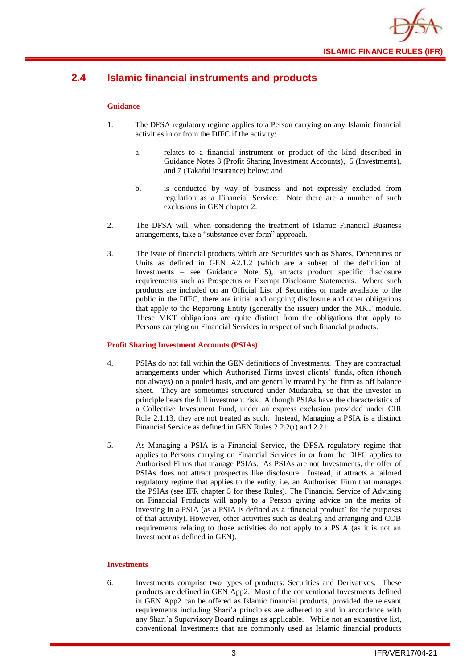

## <span id="page-5-0"></span>**2.4 Islamic financial instruments and products**

#### **Guidance**

- 1. The DFSA regulatory regime applies to a Person carrying on any Islamic financial activities in or from the DIFC if the activity:
	- a. relates to a financial instrument or product of the kind described in Guidance Notes 3 (Profit Sharing Investment Accounts), 5 (Investments), and 7 (Takaful insurance) below; and
	- b. is conducted by way of business and not expressly excluded from regulation as a Financial Service. Note there are a number of such exclusions in GEN chapter 2.
- 2. The DFSA will, when considering the treatment of Islamic Financial Business arrangements, take a "substance over form" approach.
- 3. The issue of financial products which are Securities such as Shares, Debentures or Units as defined in GEN A2.1.2 (which are a subset of the definition of Investments – see Guidance Note 5), attracts product specific disclosure requirements such as Prospectus or Exempt Disclosure Statements. Where such products are included on an Official List of Securities or made available to the public in the DIFC, there are initial and ongoing disclosure and other obligations that apply to the Reporting Entity (generally the issuer) under the MKT module. These MKT obligations are quite distinct from the obligations that apply to Persons carrying on Financial Services in respect of such financial products.

#### **Profit Sharing Investment Accounts (PSIAs)**

- 4. PSIAs do not fall within the GEN definitions of Investments. They are contractual arrangements under which Authorised Firms invest clients' funds, often (though not always) on a pooled basis, and are generally treated by the firm as off balance sheet. They are sometimes structured under Mudaraba, so that the investor in principle bears the full investment risk. Although PSIAs have the characteristics of a Collective Investment Fund, under an express exclusion provided under CIR Rule 2.1.13, they are not treated as such. Instead, Managing a PSIA is a distinct Financial Service as defined in GEN Rules 2.2.2(r) and 2.21.
- 5. As Managing a PSIA is a Financial Service, the DFSA regulatory regime that applies to Persons carrying on Financial Services in or from the DIFC applies to Authorised Firms that manage PSIAs. As PSIAs are not Investments, the offer of PSIAs does not attract prospectus like disclosure. Instead, it attracts a tailored regulatory regime that applies to the entity, i.e. an Authorised Firm that manages the PSIAs (see IFR chapter 5 for these Rules). The Financial Service of Advising on Financial Products will apply to a Person giving advice on the merits of investing in a PSIA (as a PSIA is defined as a 'financial product' for the purposes of that activity). However, other activities such as dealing and arranging and COB requirements relating to those activities do not apply to a PSIA (as it is not an Investment as defined in GEN).

#### **Investments**

6. Investments comprise two types of products: Securities and Derivatives. These products are defined in GEN App2. Most of the conventional Investments defined in GEN App2 can be offered as Islamic financial products, provided the relevant requirements including Shari'a principles are adhered to and in accordance with any Shari'a Supervisory Board rulings as applicable. While not an exhaustive list, conventional Investments that are commonly used as Islamic financial products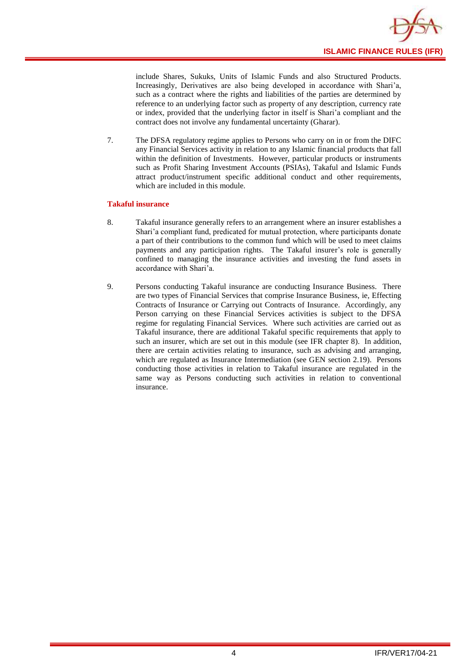

include Shares, Sukuks, Units of Islamic Funds and also Structured Products. Increasingly, Derivatives are also being developed in accordance with Shari'a, such as a contract where the rights and liabilities of the parties are determined by reference to an underlying factor such as property of any description, currency rate or index, provided that the underlying factor in itself is Shari'a compliant and the contract does not involve any fundamental uncertainty (Gharar).

7. The DFSA regulatory regime applies to Persons who carry on in or from the DIFC any Financial Services activity in relation to any Islamic financial products that fall within the definition of Investments. However, particular products or instruments such as Profit Sharing Investment Accounts (PSIAs), Takaful and Islamic Funds attract product/instrument specific additional conduct and other requirements, which are included in this module.

#### **Takaful insurance**

- 8. Takaful insurance generally refers to an arrangement where an insurer establishes a Shari'a compliant fund, predicated for mutual protection, where participants donate a part of their contributions to the common fund which will be used to meet claims payments and any participation rights. The Takaful insurer's role is generally confined to managing the insurance activities and investing the fund assets in accordance with Shari'a.
- 9. Persons conducting Takaful insurance are conducting Insurance Business. There are two types of Financial Services that comprise Insurance Business, ie, Effecting Contracts of Insurance or Carrying out Contracts of Insurance. Accordingly, any Person carrying on these Financial Services activities is subject to the DFSA regime for regulating Financial Services. Where such activities are carried out as Takaful insurance, there are additional Takaful specific requirements that apply to such an insurer, which are set out in this module (see IFR chapter 8). In addition, there are certain activities relating to insurance, such as advising and arranging, which are regulated as Insurance Intermediation (see GEN section 2.19). Persons conducting those activities in relation to Takaful insurance are regulated in the same way as Persons conducting such activities in relation to conventional insurance.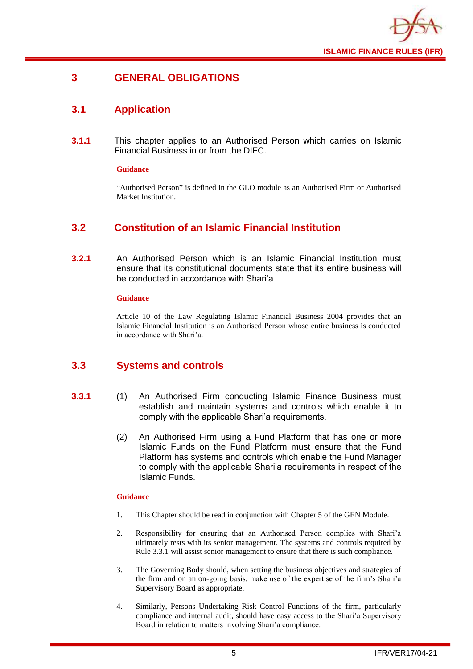

## <span id="page-7-0"></span>**3 GENERAL OBLIGATIONS**

## <span id="page-7-1"></span>**3.1 Application**

**3.1.1** This chapter applies to an Authorised Person which carries on Islamic Financial Business in or from the DIFC.

#### **Guidance**

"Authorised Person" is defined in the GLO module as an Authorised Firm or Authorised Market Institution.

## <span id="page-7-2"></span>**3.2 Constitution of an Islamic Financial Institution**

**3.2.1** An Authorised Person which is an Islamic Financial Institution must ensure that its constitutional documents state that its entire business will be conducted in accordance with Shari'a.

#### **Guidance**

Article 10 of the Law Regulating Islamic Financial Business 2004 provides that an Islamic Financial Institution is an Authorised Person whose entire business is conducted in accordance with Shari'a.

## <span id="page-7-3"></span>**3.3 Systems and controls**

- **3.3.1** (1) An Authorised Firm conducting Islamic Finance Business must establish and maintain systems and controls which enable it to comply with the applicable Shari'a requirements.
	- (2) An Authorised Firm using a Fund Platform that has one or more Islamic Funds on the Fund Platform must ensure that the Fund Platform has systems and controls which enable the Fund Manager to comply with the applicable Shari'a requirements in respect of the Islamic Funds.

- 1. This Chapter should be read in conjunction with Chapter 5 of the GEN Module.
- 2. Responsibility for ensuring that an Authorised Person complies with Shari'a ultimately rests with its senior management. The systems and controls required by Rule 3.3.1 will assist senior management to ensure that there is such compliance.
- 3. The Governing Body should, when setting the business objectives and strategies of the firm and on an on-going basis, make use of the expertise of the firm's Shari'a Supervisory Board as appropriate.
- 4. Similarly, Persons Undertaking Risk Control Functions of the firm, particularly compliance and internal audit, should have easy access to the Shari'a Supervisory Board in relation to matters involving Shari'a compliance.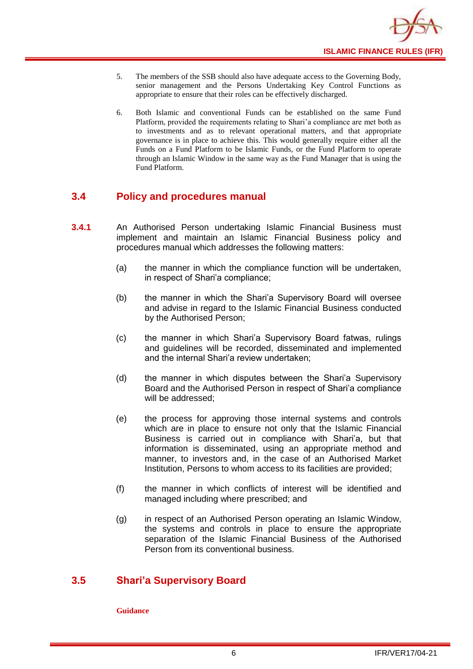

- 5. The members of the SSB should also have adequate access to the Governing Body, senior management and the Persons Undertaking Key Control Functions as appropriate to ensure that their roles can be effectively discharged.
- 6. Both Islamic and conventional Funds can be established on the same Fund Platform, provided the requirements relating to Shari'a compliance are met both as to investments and as to relevant operational matters, and that appropriate governance is in place to achieve this. This would generally require either all the Funds on a Fund Platform to be Islamic Funds, or the Fund Platform to operate through an Islamic Window in the same way as the Fund Manager that is using the Fund Platform.

## <span id="page-8-0"></span>**3.4 Policy and procedures manual**

- **3.4.1** An Authorised Person undertaking Islamic Financial Business must implement and maintain an Islamic Financial Business policy and procedures manual which addresses the following matters:
	- (a) the manner in which the compliance function will be undertaken, in respect of Shari'a compliance;
	- (b) the manner in which the Shari'a Supervisory Board will oversee and advise in regard to the Islamic Financial Business conducted by the Authorised Person;
	- (c) the manner in which Shari'a Supervisory Board fatwas, rulings and guidelines will be recorded, disseminated and implemented and the internal Shari'a review undertaken;
	- (d) the manner in which disputes between the Shari'a Supervisory Board and the Authorised Person in respect of Shari'a compliance will be addressed;
	- (e) the process for approving those internal systems and controls which are in place to ensure not only that the Islamic Financial Business is carried out in compliance with Shari'a, but that information is disseminated, using an appropriate method and manner, to investors and, in the case of an Authorised Market Institution, Persons to whom access to its facilities are provided;
	- (f) the manner in which conflicts of interest will be identified and managed including where prescribed; and
	- (g) in respect of an Authorised Person operating an Islamic Window, the systems and controls in place to ensure the appropriate separation of the Islamic Financial Business of the Authorised Person from its conventional business.

## <span id="page-8-1"></span>**3.5 Shari'a Supervisory Board**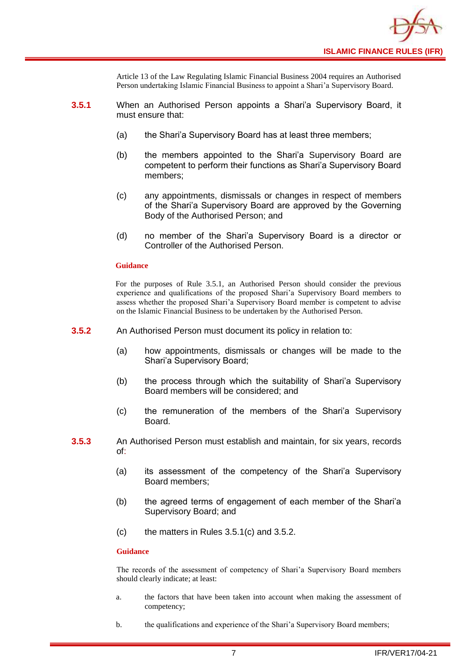

Article 13 of the Law Regulating Islamic Financial Business 2004 requires an Authorised Person undertaking Islamic Financial Business to appoint a Shari'a Supervisory Board.

- **3.5.1** When an Authorised Person appoints a Shari'a Supervisory Board, it must ensure that:
	- (a) the Shari'a Supervisory Board has at least three members;
	- (b) the members appointed to the Shari'a Supervisory Board are competent to perform their functions as Shari'a Supervisory Board members;
	- (c) any appointments, dismissals or changes in respect of members of the Shari'a Supervisory Board are approved by the Governing Body of the Authorised Person; and
	- (d) no member of the Shari'a Supervisory Board is a director or Controller of the Authorised Person.

#### **Guidance**

For the purposes of Rule 3.5.1, an Authorised Person should consider the previous experience and qualifications of the proposed Shari'a Supervisory Board members to assess whether the proposed Shari'a Supervisory Board member is competent to advise on the Islamic Financial Business to be undertaken by the Authorised Person.

- **3.5.2** An Authorised Person must document its policy in relation to:
	- (a) how appointments, dismissals or changes will be made to the Shari'a Supervisory Board;
	- (b) the process through which the suitability of Shari'a Supervisory Board members will be considered; and
	- (c) the remuneration of the members of the Shari'a Supervisory Board.
- **3.5.3** An Authorised Person must establish and maintain, for six years, records of:
	- (a) its assessment of the competency of the Shari'a Supervisory Board members;
	- (b) the agreed terms of engagement of each member of the Shari'a Supervisory Board; and
	- (c) the matters in Rules 3.5.1(c) and 3.5.2.

#### **Guidance**

The records of the assessment of competency of Shari'a Supervisory Board members should clearly indicate; at least:

- a. the factors that have been taken into account when making the assessment of competency;
- b. the qualifications and experience of the Shari'a Supervisory Board members;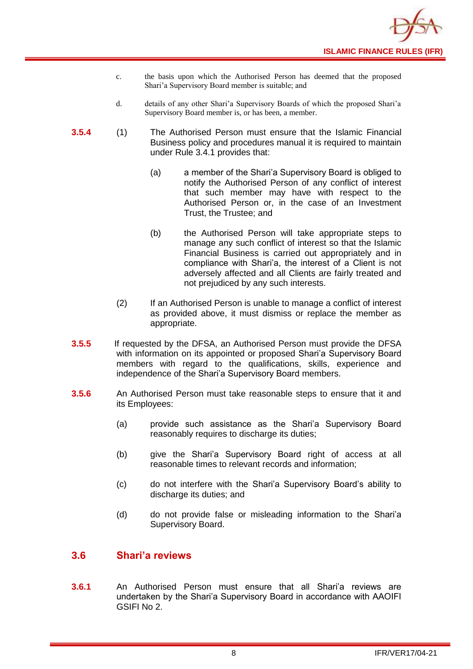- c. the basis upon which the Authorised Person has deemed that the proposed Shari'a Supervisory Board member is suitable; and
- d. details of any other Shari'a Supervisory Boards of which the proposed Shari'a Supervisory Board member is, or has been, a member.
- **3.5.4** (1) The Authorised Person must ensure that the Islamic Financial Business policy and procedures manual it is required to maintain under Rule 3.4.1 provides that:
	- (a) a member of the Shari'a Supervisory Board is obliged to notify the Authorised Person of any conflict of interest that such member may have with respect to the Authorised Person or, in the case of an Investment Trust, the Trustee; and
	- (b) the Authorised Person will take appropriate steps to manage any such conflict of interest so that the Islamic Financial Business is carried out appropriately and in compliance with Shari'a, the interest of a Client is not adversely affected and all Clients are fairly treated and not prejudiced by any such interests.
	- (2) If an Authorised Person is unable to manage a conflict of interest as provided above, it must dismiss or replace the member as appropriate.
- **3.5.5** If requested by the DFSA, an Authorised Person must provide the DFSA with information on its appointed or proposed Shari'a Supervisory Board members with regard to the qualifications, skills, experience and independence of the Shari'a Supervisory Board members.
- **3.5.6** An Authorised Person must take reasonable steps to ensure that it and its Employees:
	- (a) provide such assistance as the Shari'a Supervisory Board reasonably requires to discharge its duties;
	- (b) give the Shari'a Supervisory Board right of access at all reasonable times to relevant records and information;
	- (c) do not interfere with the Shari'a Supervisory Board's ability to discharge its duties; and
	- (d) do not provide false or misleading information to the Shari'a Supervisory Board.

## <span id="page-10-0"></span>**3.6 Shari'a reviews**

**3.6.1** An Authorised Person must ensure that all Shari'a reviews are undertaken by the Shari'a Supervisory Board in accordance with AAOIFI GSIFI No 2.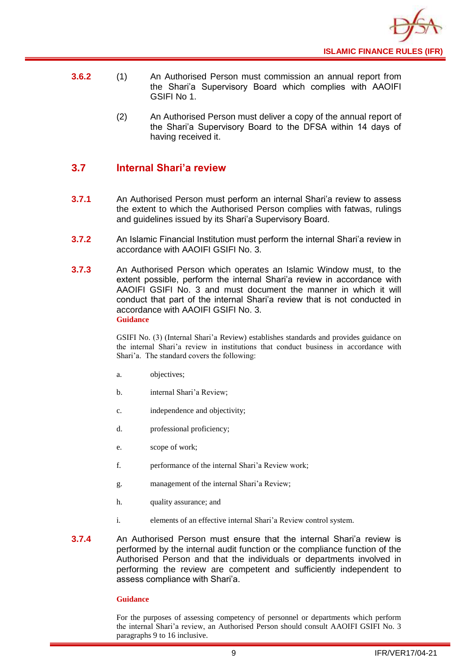

- **3.6.2** (1) An Authorised Person must commission an annual report from the Shari'a Supervisory Board which complies with AAOIFI GSIFI No 1.
	- (2) An Authorised Person must deliver a copy of the annual report of the Shari'a Supervisory Board to the DFSA within 14 days of having received it.

## <span id="page-11-0"></span>**3.7 Internal Shari'a review**

- **3.7.1** An Authorised Person must perform an internal Shari'a review to assess the extent to which the Authorised Person complies with fatwas, rulings and guidelines issued by its Shari'a Supervisory Board.
- **3.7.2** An Islamic Financial Institution must perform the internal Shari'a review in accordance with AAOIFI GSIFI No. 3.
- **3.7.3** An Authorised Person which operates an Islamic Window must, to the extent possible, perform the internal Shari'a review in accordance with AAOIFI GSIFI No. 3 and must document the manner in which it will conduct that part of the internal Shari'a review that is not conducted in accordance with AAOIFI GSIFI No. 3. **Guidance**

GSIFI No. (3) (Internal Shari'a Review) establishes standards and provides guidance on the internal Shari'a review in institutions that conduct business in accordance with Shari'a. The standard covers the following:

- a. objectives;
- b. internal Shari'a Review;
- c. independence and objectivity;
- d. professional proficiency;
- e. scope of work;
- f. performance of the internal Shari'a Review work;
- g. management of the internal Shari'a Review;
- h. quality assurance; and
- i. elements of an effective internal Shari'a Review control system.
- **3.7.4** An Authorised Person must ensure that the internal Shari'a review is performed by the internal audit function or the compliance function of the Authorised Person and that the individuals or departments involved in performing the review are competent and sufficiently independent to assess compliance with Shari'a.

#### **Guidance**

For the purposes of assessing competency of personnel or departments which perform the internal Shari'a review, an Authorised Person should consult AAOIFI GSIFI No. 3 paragraphs 9 to 16 inclusive.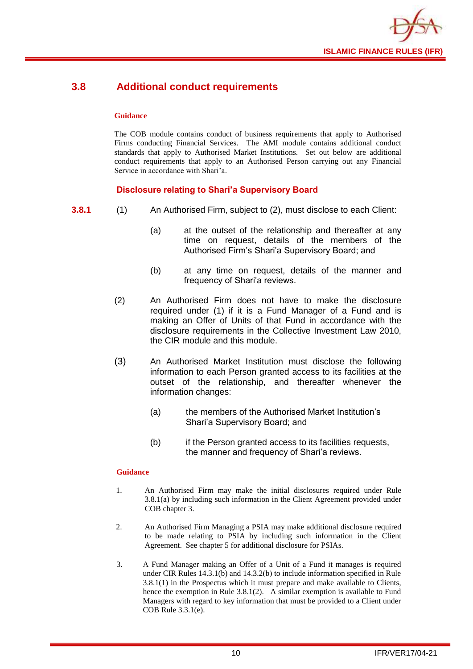

## <span id="page-12-0"></span>**3.8 Additional conduct requirements**

#### **Guidance**

The COB module contains conduct of business requirements that apply to Authorised Firms conducting Financial Services. The AMI module contains additional conduct standards that apply to Authorised Market Institutions. Set out below are additional conduct requirements that apply to an Authorised Person carrying out any Financial Service in accordance with Shari'a.

## **Disclosure relating to Shari'a Supervisory Board**

- **3.8.1** (1) An Authorised Firm, subject to (2), must disclose to each Client:
	- (a) at the outset of the relationship and thereafter at any time on request, details of the members of the Authorised Firm's Shari'a Supervisory Board; and
	- (b) at any time on request, details of the manner and frequency of Shari'a reviews.
	- (2) An Authorised Firm does not have to make the disclosure required under (1) if it is a Fund Manager of a Fund and is making an Offer of Units of that Fund in accordance with the disclosure requirements in the Collective Investment Law 2010, the CIR module and this module.
	- (3) An Authorised Market Institution must disclose the following information to each Person granted access to its facilities at the outset of the relationship, and thereafter whenever the information changes:
		- (a) the members of the Authorised Market Institution's Shari'a Supervisory Board; and
		- (b) if the Person granted access to its facilities requests, the manner and frequency of Shari'a reviews.

- 1. An Authorised Firm may make the initial disclosures required under Rule 3.8.1(a) by including such information in the Client Agreement provided under COB chapter 3.
- 2. An Authorised Firm Managing a PSIA may make additional disclosure required to be made relating to PSIA by including such information in the Client Agreement. See chapter 5 for additional disclosure for PSIAs.
- 3. A Fund Manager making an Offer of a Unit of a Fund it manages is required under CIR Rules 14.3.1(b) and 14.3.2(b) to include information specified in Rule 3.8.1(1) in the Prospectus which it must prepare and make available to Clients, hence the exemption in Rule 3.8.1(2). A similar exemption is available to Fund Managers with regard to key information that must be provided to a Client under COB Rule 3.3.1(e).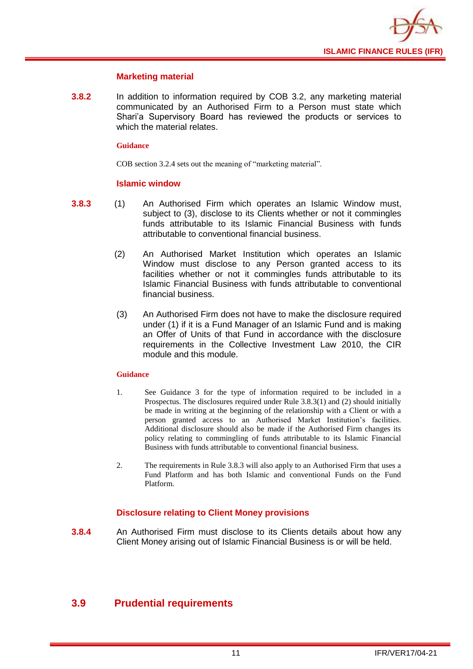

#### **Marketing material**

**3.8.2** In addition to information required by COB 3.2, any marketing material communicated by an Authorised Firm to a Person must state which Shari'a Supervisory Board has reviewed the products or services to which the material relates.

#### **Guidance**

COB section 3.2.4 sets out the meaning of "marketing material".

#### **Islamic window**

- **3.8.3** (1) An Authorised Firm which operates an Islamic Window must, subject to (3), disclose to its Clients whether or not it commingles funds attributable to its Islamic Financial Business with funds attributable to conventional financial business.
	- (2) An Authorised Market Institution which operates an Islamic Window must disclose to any Person granted access to its facilities whether or not it commingles funds attributable to its Islamic Financial Business with funds attributable to conventional financial business.
	- (3) An Authorised Firm does not have to make the disclosure required under (1) if it is a Fund Manager of an Islamic Fund and is making an Offer of Units of that Fund in accordance with the disclosure requirements in the Collective Investment Law 2010, the CIR module and this module.

#### **Guidance**

- 1. See Guidance 3 for the type of information required to be included in a Prospectus. The disclosures required under Rule 3.8.3(1) and (2) should initially be made in writing at the beginning of the relationship with a Client or with a person granted access to an Authorised Market Institution's facilities. Additional disclosure should also be made if the Authorised Firm changes its policy relating to commingling of funds attributable to its Islamic Financial Business with funds attributable to conventional financial business.
- 2. The requirements in Rule 3.8.3 will also apply to an Authorised Firm that uses a Fund Platform and has both Islamic and conventional Funds on the Fund Platform.

## **Disclosure relating to Client Money provisions**

**3.8.4** An Authorised Firm must disclose to its Clients details about how any Client Money arising out of Islamic Financial Business is or will be held.

## <span id="page-13-0"></span>**3.9 Prudential requirements**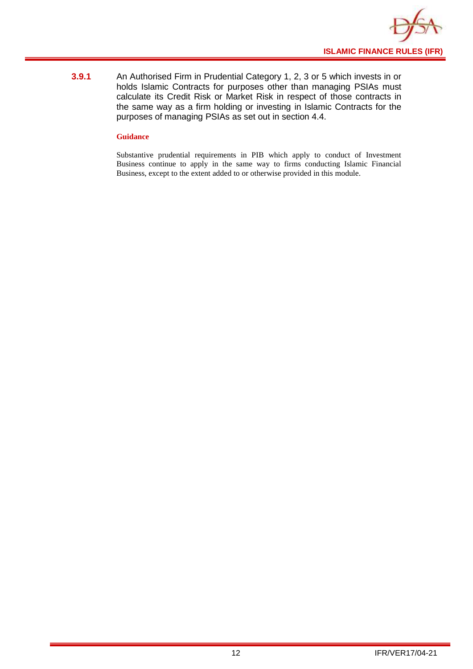

**3.9.1** An Authorised Firm in Prudential Category 1, 2, 3 or 5 which invests in or holds Islamic Contracts for purposes other than managing PSIAs must calculate its Credit Risk or Market Risk in respect of those contracts in the same way as a firm holding or investing in Islamic Contracts for the purposes of managing PSIAs as set out in section 4.4.

#### **Guidance**

Substantive prudential requirements in PIB which apply to conduct of Investment Business continue to apply in the same way to firms conducting Islamic Financial Business, except to the extent added to or otherwise provided in this module.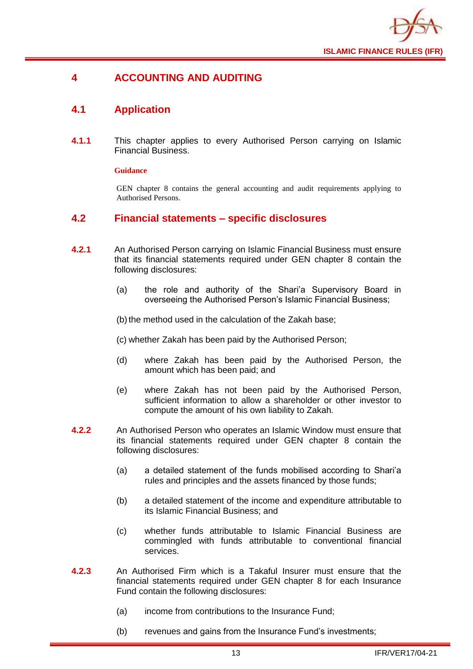

## <span id="page-15-0"></span>**4 ACCOUNTING AND AUDITING**

## <span id="page-15-1"></span>**4.1 Application**

**4.1.1** This chapter applies to every Authorised Person carrying on Islamic Financial Business.

#### **Guidance**

GEN chapter 8 contains the general accounting and audit requirements applying to Authorised Persons.

#### <span id="page-15-2"></span>**4.2 Financial statements – specific disclosures**

- **4.2.1** An Authorised Person carrying on Islamic Financial Business must ensure that its financial statements required under GEN chapter 8 contain the following disclosures:
	- (a) the role and authority of the Shari'a Supervisory Board in overseeing the Authorised Person's Islamic Financial Business;

(b) the method used in the calculation of the Zakah base;

(c) whether Zakah has been paid by the Authorised Person;

- (d) where Zakah has been paid by the Authorised Person, the amount which has been paid; and
- (e) where Zakah has not been paid by the Authorised Person, sufficient information to allow a shareholder or other investor to compute the amount of his own liability to Zakah.
- **4.2.2** An Authorised Person who operates an Islamic Window must ensure that its financial statements required under GEN chapter 8 contain the following disclosures:
	- (a) a detailed statement of the funds mobilised according to Shari'a rules and principles and the assets financed by those funds;
	- (b) a detailed statement of the income and expenditure attributable to its Islamic Financial Business; and
	- (c) whether funds attributable to Islamic Financial Business are commingled with funds attributable to conventional financial services.
- **4.2.3** An Authorised Firm which is a Takaful Insurer must ensure that the financial statements required under GEN chapter 8 for each Insurance Fund contain the following disclosures:
	- (a) income from contributions to the Insurance Fund;
	- (b) revenues and gains from the Insurance Fund's investments;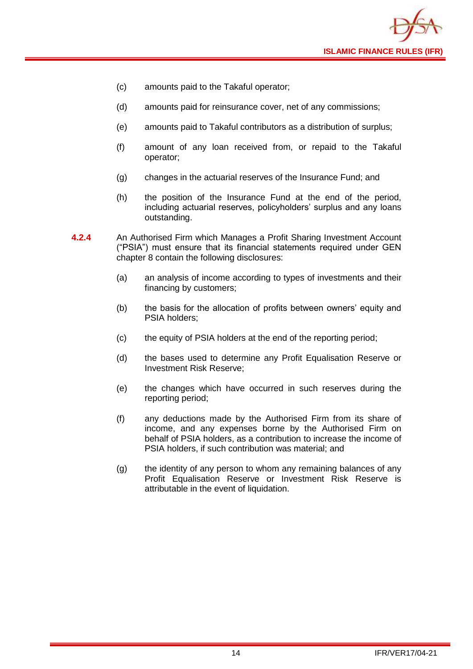

- (c) amounts paid to the Takaful operator;
- (d) amounts paid for reinsurance cover, net of any commissions;
- (e) amounts paid to Takaful contributors as a distribution of surplus;
- (f) amount of any loan received from, or repaid to the Takaful operator;
- (g) changes in the actuarial reserves of the Insurance Fund; and
- (h) the position of the Insurance Fund at the end of the period, including actuarial reserves, policyholders' surplus and any loans outstanding.
- **4.2.4** An Authorised Firm which Manages a Profit Sharing Investment Account ("PSIA") must ensure that its financial statements required under GEN chapter 8 contain the following disclosures:
	- (a) an analysis of income according to types of investments and their financing by customers;
	- (b) the basis for the allocation of profits between owners' equity and PSIA holders;
	- (c) the equity of PSIA holders at the end of the reporting period;
	- (d) the bases used to determine any Profit Equalisation Reserve or Investment Risk Reserve;
	- (e) the changes which have occurred in such reserves during the reporting period;
	- (f) any deductions made by the Authorised Firm from its share of income, and any expenses borne by the Authorised Firm on behalf of PSIA holders, as a contribution to increase the income of PSIA holders, if such contribution was material; and
	- (g) the identity of any person to whom any remaining balances of any Profit Equalisation Reserve or Investment Risk Reserve is attributable in the event of liquidation.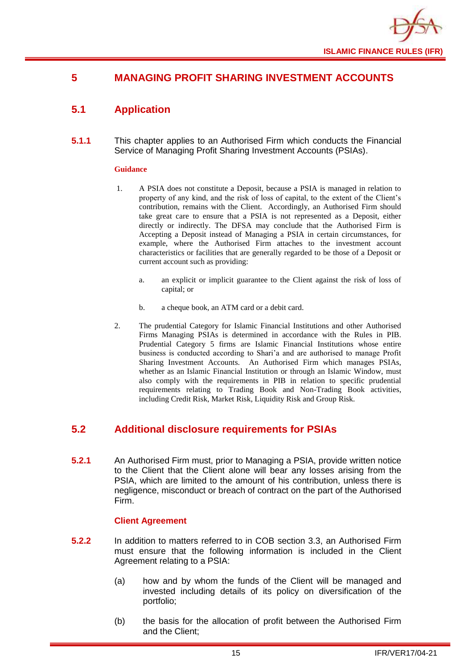

## <span id="page-17-0"></span>**5 MANAGING PROFIT SHARING INVESTMENT ACCOUNTS**

## <span id="page-17-1"></span>**5.1 Application**

**5.1.1** This chapter applies to an Authorised Firm which conducts the Financial Service of Managing Profit Sharing Investment Accounts (PSIAs).

#### **Guidance**

- 1. A PSIA does not constitute a Deposit, because a PSIA is managed in relation to property of any kind, and the risk of loss of capital, to the extent of the Client's contribution, remains with the Client. Accordingly, an Authorised Firm should take great care to ensure that a PSIA is not represented as a Deposit, either directly or indirectly. The DFSA may conclude that the Authorised Firm is Accepting a Deposit instead of Managing a PSIA in certain circumstances, for example, where the Authorised Firm attaches to the investment account characteristics or facilities that are generally regarded to be those of a Deposit or current account such as providing:
	- a. an explicit or implicit guarantee to the Client against the risk of loss of capital; or
	- b. a cheque book, an ATM card or a debit card.
- 2. The prudential Category for Islamic Financial Institutions and other Authorised Firms Managing PSIAs is determined in accordance with the Rules in PIB. Prudential Category 5 firms are Islamic Financial Institutions whose entire business is conducted according to Shari'a and are authorised to manage Profit Sharing Investment Accounts. An Authorised Firm which manages PSIAs, whether as an Islamic Financial Institution or through an Islamic Window, must also comply with the requirements in PIB in relation to specific prudential requirements relating to Trading Book and Non-Trading Book activities, including Credit Risk, Market Risk, Liquidity Risk and Group Risk.

## <span id="page-17-2"></span>**5.2 Additional disclosure requirements for PSIAs**

**5.2.1** An Authorised Firm must, prior to Managing a PSIA, provide written notice to the Client that the Client alone will bear any losses arising from the PSIA, which are limited to the amount of his contribution, unless there is negligence, misconduct or breach of contract on the part of the Authorised Firm.

#### **Client Agreement**

- **5.2.2** In addition to matters referred to in COB section 3.3, an Authorised Firm must ensure that the following information is included in the Client Agreement relating to a PSIA:
	- (a) how and by whom the funds of the Client will be managed and invested including details of its policy on diversification of the portfolio;
	- (b) the basis for the allocation of profit between the Authorised Firm and the Client;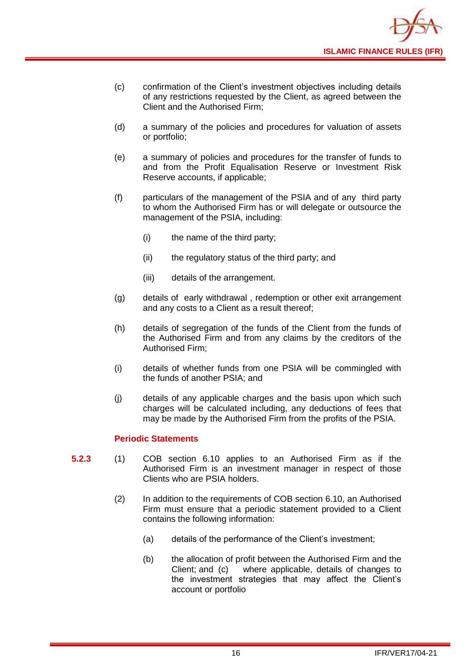

- (c) confirmation of the Client's investment objectives including details of any restrictions requested by the Client, as agreed between the Client and the Authorised Firm;
- (d) a summary of the policies and procedures for valuation of assets or portfolio;
- (e) a summary of policies and procedures for the transfer of funds to and from the Profit Equalisation Reserve or Investment Risk Reserve accounts, if applicable;
- (f) particulars of the management of the PSIA and of any third party to whom the Authorised Firm has or will delegate or outsource the management of the PSIA, including:
	- (i) the name of the third party;
	- (ii) the regulatory status of the third party; and
	- (iii) details of the arrangement.
- (g) details of early withdrawal , redemption or other exit arrangement and any costs to a Client as a result thereof;
- (h) details of segregation of the funds of the Client from the funds of the Authorised Firm and from any claims by the creditors of the Authorised Firm;
- (i) details of whether funds from one PSIA will be commingled with the funds of another PSIA; and
- (j) details of any applicable charges and the basis upon which such charges will be calculated including, any deductions of fees that may be made by the Authorised Firm from the profits of the PSIA.

#### **Periodic Statements**

- **5.2.3** (1) COB section 6.10 applies to an Authorised Firm as if the Authorised Firm is an investment manager in respect of those Clients who are PSIA holders.
	- (2) In addition to the requirements of COB section 6.10, an Authorised Firm must ensure that a periodic statement provided to a Client contains the following information:
		- (a) details of the performance of the Client's investment;
		- (b) the allocation of profit between the Authorised Firm and the Client; and (c) where applicable, details of changes to the investment strategies that may affect the Client's account or portfolio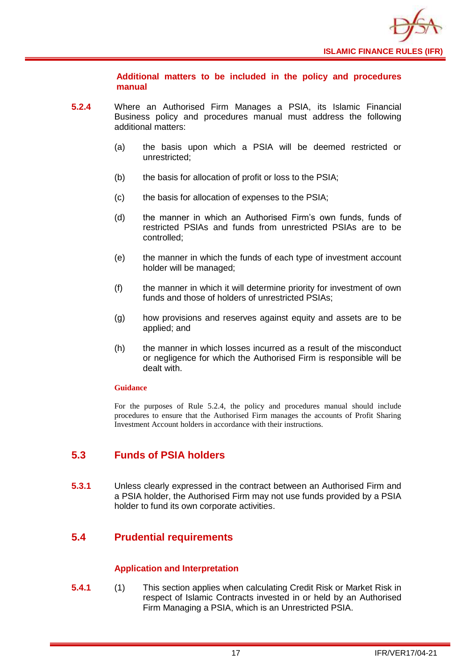

**Additional matters to be included in the policy and procedures manual** 

- **5.2.4** Where an Authorised Firm Manages a PSIA, its Islamic Financial Business policy and procedures manual must address the following additional matters:
	- (a) the basis upon which a PSIA will be deemed restricted or unrestricted;
	- (b) the basis for allocation of profit or loss to the PSIA;
	- (c) the basis for allocation of expenses to the PSIA;
	- (d) the manner in which an Authorised Firm's own funds, funds of restricted PSIAs and funds from unrestricted PSIAs are to be controlled;
	- (e) the manner in which the funds of each type of investment account holder will be managed;
	- (f) the manner in which it will determine priority for investment of own funds and those of holders of unrestricted PSIAs;
	- (g) how provisions and reserves against equity and assets are to be applied; and
	- (h) the manner in which losses incurred as a result of the misconduct or negligence for which the Authorised Firm is responsible will be dealt with.

#### **Guidance**

For the purposes of Rule 5.2.4, the policy and procedures manual should include procedures to ensure that the Authorised Firm manages the accounts of Profit Sharing Investment Account holders in accordance with their instructions.

## <span id="page-19-0"></span>**5.3 Funds of PSIA holders**

**5.3.1** Unless clearly expressed in the contract between an Authorised Firm and a PSIA holder, the Authorised Firm may not use funds provided by a PSIA holder to fund its own corporate activities.

## <span id="page-19-1"></span>**5.4 Prudential requirements**

#### **Application and Interpretation**

**5.4.1** (1) This section applies when calculating Credit Risk or Market Risk in respect of Islamic Contracts invested in or held by an Authorised Firm Managing a PSIA, which is an Unrestricted PSIA.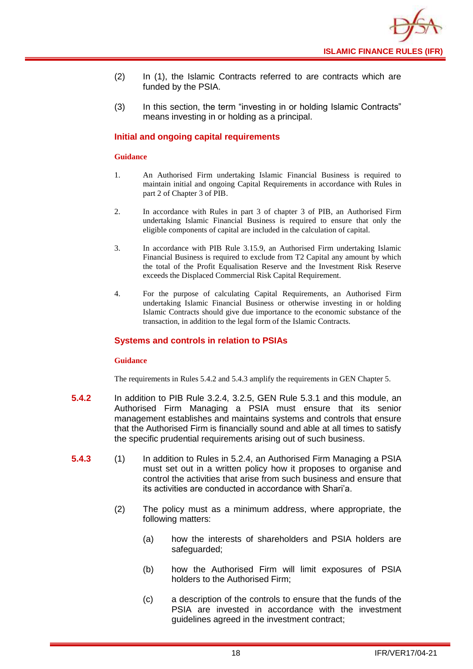

- (2) In (1), the Islamic Contracts referred to are contracts which are funded by the PSIA.
- (3) In this section, the term "investing in or holding Islamic Contracts" means investing in or holding as a principal.

#### **Initial and ongoing capital requirements**

#### **Guidance**

- 1. An Authorised Firm undertaking Islamic Financial Business is required to maintain initial and ongoing Capital Requirements in accordance with Rules in part 2 of Chapter 3 of PIB.
- 2. In accordance with Rules in part 3 of chapter 3 of PIB, an Authorised Firm undertaking Islamic Financial Business is required to ensure that only the eligible components of capital are included in the calculation of capital.
- 3. In accordance with PIB Rule 3.15.9, an Authorised Firm undertaking Islamic Financial Business is required to exclude from T2 Capital any amount by which the total of the Profit Equalisation Reserve and the Investment Risk Reserve exceeds the Displaced Commercial Risk Capital Requirement.
- 4. For the purpose of calculating Capital Requirements, an Authorised Firm undertaking Islamic Financial Business or otherwise investing in or holding Islamic Contracts should give due importance to the economic substance of the transaction, in addition to the legal form of the Islamic Contracts.

#### **Systems and controls in relation to PSIAs**

#### **Guidance**

The requirements in Rules 5.4.2 and 5.4.3 amplify the requirements in GEN Chapter 5.

- **5.4.2** In addition to PIB Rule 3.2.4, 3.2.5, GEN Rule 5.3.1 and this module, an Authorised Firm Managing a PSIA must ensure that its senior management establishes and maintains systems and controls that ensure that the Authorised Firm is financially sound and able at all times to satisfy the specific prudential requirements arising out of such business.
- **5.4.3** (1) In addition to Rules in 5.2.4, an Authorised Firm Managing a PSIA must set out in a written policy how it proposes to organise and control the activities that arise from such business and ensure that its activities are conducted in accordance with Shari'a.
	- (2) The policy must as a minimum address, where appropriate, the following matters:
		- (a) how the interests of shareholders and PSIA holders are safeguarded;
		- (b) how the Authorised Firm will limit exposures of PSIA holders to the Authorised Firm;
		- (c) a description of the controls to ensure that the funds of the PSIA are invested in accordance with the investment guidelines agreed in the investment contract;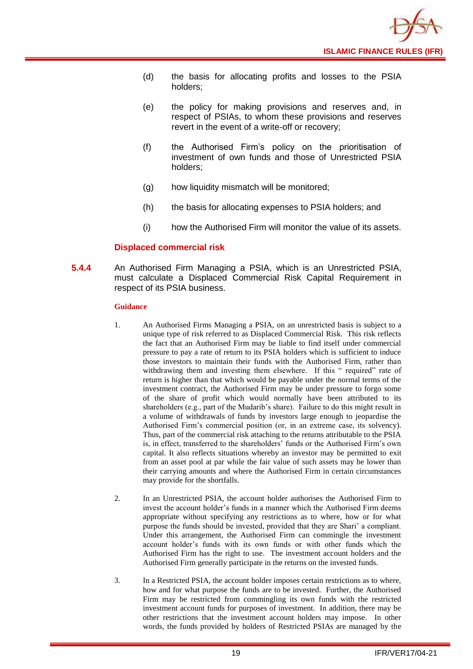

- (d) the basis for allocating profits and losses to the PSIA holders;
- (e) the policy for making provisions and reserves and, in respect of PSIAs, to whom these provisions and reserves revert in the event of a write-off or recovery;
- (f) the Authorised Firm's policy on the prioritisation of investment of own funds and those of Unrestricted PSIA holders;
- (g) how liquidity mismatch will be monitored;
- (h) the basis for allocating expenses to PSIA holders; and
- (i) how the Authorised Firm will monitor the value of its assets.

#### **Displaced commercial risk**

**5.4.4** An Authorised Firm Managing a PSIA, which is an Unrestricted PSIA, must calculate a Displaced Commercial Risk Capital Requirement in respect of its PSIA business.

- 1. An Authorised Firms Managing a PSIA, on an unrestricted basis is subject to a unique type of risk referred to as Displaced Commercial Risk. This risk reflects the fact that an Authorised Firm may be liable to find itself under commercial pressure to pay a rate of return to its PSIA holders which is sufficient to induce those investors to maintain their funds with the Authorised Firm, rather than withdrawing them and investing them elsewhere. If this " required" rate of return is higher than that which would be payable under the normal terms of the investment contract, the Authorised Firm may be under pressure to forgo some of the share of profit which would normally have been attributed to its shareholders (e.g., part of the Mudarib's share). Failure to do this might result in a volume of withdrawals of funds by investors large enough to jeopardise the Authorised Firm's commercial position (or, in an extreme case, its solvency). Thus, part of the commercial risk attaching to the returns attributable to the PSIA is, in effect, transferred to the shareholders' funds or the Authorised Firm's own capital. It also reflects situations whereby an investor may be permitted to exit from an asset pool at par while the fair value of such assets may be lower than their carrying amounts and where the Authorised Firm in certain circumstances may provide for the shortfalls.
- 2. In an Unrestricted PSIA, the account holder authorises the Authorised Firm to invest the account holder's funds in a manner which the Authorised Firm deems appropriate without specifying any restrictions as to where, how or for what purpose the funds should be invested, provided that they are Shari' a compliant. Under this arrangement, the Authorised Firm can commingle the investment account holder's funds with its own funds or with other funds which the Authorised Firm has the right to use. The investment account holders and the Authorised Firm generally participate in the returns on the invested funds.
- 3. In a Restricted PSIA, the account holder imposes certain restrictions as to where, how and for what purpose the funds are to be invested. Further, the Authorised Firm may be restricted from commingling its own funds with the restricted investment account funds for purposes of investment. In addition, there may be other restrictions that the investment account holders may impose. In other words, the funds provided by holders of Restricted PSIAs are managed by the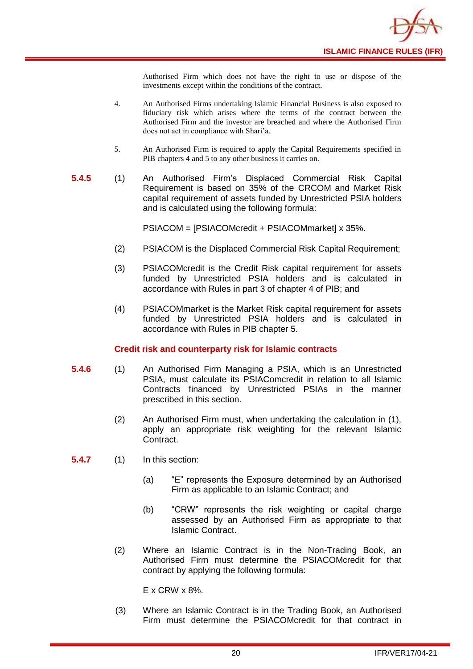

Authorised Firm which does not have the right to use or dispose of the investments except within the conditions of the contract.

- 4. An Authorised Firms undertaking Islamic Financial Business is also exposed to fiduciary risk which arises where the terms of the contract between the Authorised Firm and the investor are breached and where the Authorised Firm does not act in compliance with Shari'a.
- 5. An Authorised Firm is required to apply the Capital Requirements specified in PIB chapters 4 and 5 to any other business it carries on.
- **5.4.5** (1) An Authorised Firm's Displaced Commercial Risk Capital Requirement is based on 35% of the CRCOM and Market Risk capital requirement of assets funded by Unrestricted PSIA holders and is calculated using the following formula:

PSIACOM = [PSIACOMcredit + PSIACOMmarket] x 35%.

- (2) PSIACOM is the Displaced Commercial Risk Capital Requirement;
- (3) PSIACOMcredit is the Credit Risk capital requirement for assets funded by Unrestricted PSIA holders and is calculated in accordance with Rules in part 3 of chapter 4 of PIB; and
- (4) PSIACOMmarket is the Market Risk capital requirement for assets funded by Unrestricted PSIA holders and is calculated in accordance with Rules in PIB chapter 5.

#### **Credit risk and counterparty risk for Islamic contracts**

- **5.4.6** (1) An Authorised Firm Managing a PSIA, which is an Unrestricted PSIA, must calculate its PSIAComcredit in relation to all Islamic Contracts financed by Unrestricted PSIAs in the manner prescribed in this section.
	- (2) An Authorised Firm must, when undertaking the calculation in (1), apply an appropriate risk weighting for the relevant Islamic Contract.

**5.4.7** (1) In this section:

- (a) "E" represents the Exposure determined by an Authorised Firm as applicable to an Islamic Contract; and
- (b) "CRW" represents the risk weighting or capital charge assessed by an Authorised Firm as appropriate to that Islamic Contract.
- (2) Where an Islamic Contract is in the Non-Trading Book, an Authorised Firm must determine the PSIACOMcredit for that contract by applying the following formula:

E x CRW x 8%.

(3) Where an Islamic Contract is in the Trading Book, an Authorised Firm must determine the PSIACOMcredit for that contract in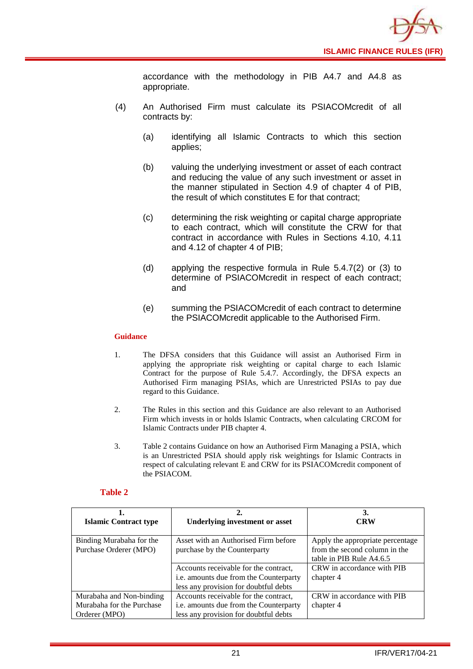

accordance with the methodology in PIB A4.7 and A4.8 as appropriate.

- (4) An Authorised Firm must calculate its PSIACOMcredit of all contracts by:
	- (a) identifying all Islamic Contracts to which this section applies;
	- (b) valuing the underlying investment or asset of each contract and reducing the value of any such investment or asset in the manner stipulated in Section 4.9 of chapter 4 of PIB, the result of which constitutes E for that contract;
	- (c) determining the risk weighting or capital charge appropriate to each contract, which will constitute the CRW for that contract in accordance with Rules in Sections 4.10, 4.11 and 4.12 of chapter 4 of PIB;
	- (d) applying the respective formula in Rule 5.4.7(2) or (3) to determine of PSIACOMcredit in respect of each contract; and
	- (e) summing the PSIACOMcredit of each contract to determine the PSIACOMcredit applicable to the Authorised Firm.

#### **Guidance**

- 1. The DFSA considers that this Guidance will assist an Authorised Firm in applying the appropriate risk weighting or capital charge to each Islamic Contract for the purpose of Rule 5.4.7. Accordingly, the DFSA expects an Authorised Firm managing PSIAs, which are Unrestricted PSIAs to pay due regard to this Guidance.
- 2. The Rules in this section and this Guidance are also relevant to an Authorised Firm which invests in or holds Islamic Contracts, when calculating CRCOM for Islamic Contracts under PIB chapter 4.
- 3. Table 2 contains Guidance on how an Authorised Firm Managing a PSIA, which is an Unrestricted PSIA should apply risk weightings for Islamic Contracts in respect of calculating relevant E and CRW for its PSIACOMcredit component of the PSIACOM.

#### **Table 2**

| <b>Islamic Contract type</b>                                           | <b>Underlying investment or asset</b>                                                                                    | 3.<br><b>CRW</b>                                                                              |
|------------------------------------------------------------------------|--------------------------------------------------------------------------------------------------------------------------|-----------------------------------------------------------------------------------------------|
| Binding Murabaha for the<br>Purchase Orderer (MPO)                     | Asset with an Authorised Firm before<br>purchase by the Counterparty                                                     | Apply the appropriate percentage<br>from the second column in the<br>table in PIB Rule A4.6.5 |
|                                                                        | Accounts receivable for the contract,<br>i.e. amounts due from the Counterparty<br>less any provision for doubtful debts | CRW in accordance with PIB<br>chapter 4                                                       |
| Murabaha and Non-binding<br>Murabaha for the Purchase<br>Orderer (MPO) | Accounts receivable for the contract,<br>i.e. amounts due from the Counterparty<br>less any provision for doubtful debts | CRW in accordance with PIB<br>chapter 4                                                       |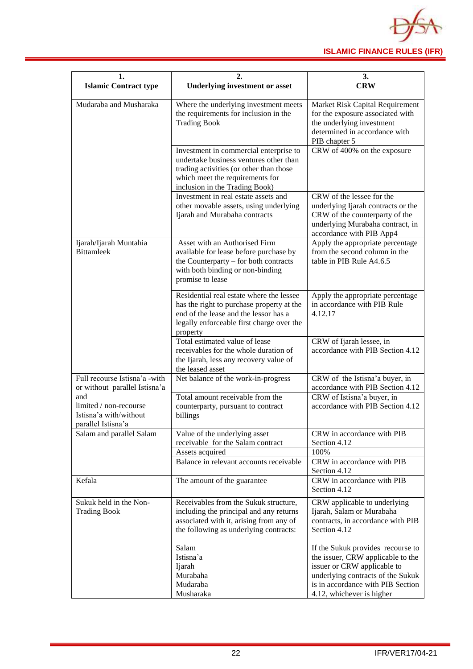

| 1.<br><b>Islamic Contract type</b>                                            | 2.<br><b>Underlying investment or asset</b>                                                                                                                                                      | 3.<br><b>CRW</b>                                                                                                                                                                                             |  |  |  |  |  |
|-------------------------------------------------------------------------------|--------------------------------------------------------------------------------------------------------------------------------------------------------------------------------------------------|--------------------------------------------------------------------------------------------------------------------------------------------------------------------------------------------------------------|--|--|--|--|--|
| Mudaraba and Musharaka                                                        | Where the underlying investment meets<br>the requirements for inclusion in the<br><b>Trading Book</b>                                                                                            | Market Risk Capital Requirement<br>for the exposure associated with<br>the underlying investment<br>determined in accordance with<br>PIB chapter 5                                                           |  |  |  |  |  |
|                                                                               | Investment in commercial enterprise to<br>undertake business ventures other than<br>trading activities (or other than those<br>which meet the requirements for<br>inclusion in the Trading Book) | CRW of 400% on the exposure                                                                                                                                                                                  |  |  |  |  |  |
|                                                                               | Investment in real estate assets and<br>other movable assets, using underlying<br>Ijarah and Murabaha contracts                                                                                  | CRW of the lessee for the<br>underlying Ijarah contracts or the<br>CRW of the counterparty of the<br>underlying Murabaha contract, in<br>accordance with PIB App4                                            |  |  |  |  |  |
| Ijarah/Ijarah Muntahia<br><b>Bittamleek</b>                                   | Asset with an Authorised Firm<br>available for lease before purchase by<br>the Counterparty – for both contracts<br>with both binding or non-binding<br>promise to lease                         | Apply the appropriate percentage<br>from the second column in the<br>table in PIB Rule A4.6.5                                                                                                                |  |  |  |  |  |
|                                                                               | Residential real estate where the lessee<br>has the right to purchase property at the<br>end of the lease and the lessor has a<br>legally enforceable first charge over the<br>property          | Apply the appropriate percentage<br>in accordance with PIB Rule<br>4.12.17                                                                                                                                   |  |  |  |  |  |
|                                                                               | Total estimated value of lease<br>receivables for the whole duration of<br>the Ijarah, less any recovery value of<br>the leased asset                                                            | CRW of Ijarah lessee, in<br>accordance with PIB Section 4.12                                                                                                                                                 |  |  |  |  |  |
| Full recourse Istisna'a -with<br>or without parallel Istisna'a                | Net balance of the work-in-progress                                                                                                                                                              | CRW of the Istisna'a buyer, in<br>accordance with PIB Section 4.12                                                                                                                                           |  |  |  |  |  |
| and<br>limited / non-recourse<br>Istisna'a with/without<br>parallel Istisna'a | Total amount receivable from the<br>counterparty, pursuant to contract<br>billings                                                                                                               | CRW of Istisna'a buyer, in<br>accordance with PIB Section 4.12                                                                                                                                               |  |  |  |  |  |
| Salam and parallel Salam                                                      | Value of the underlying asset<br>receivable for the Salam contract                                                                                                                               | CRW in accordance with PIB<br>Section 4.12                                                                                                                                                                   |  |  |  |  |  |
|                                                                               | Assets acquired                                                                                                                                                                                  | 100%                                                                                                                                                                                                         |  |  |  |  |  |
|                                                                               | Balance in relevant accounts receivable                                                                                                                                                          | CRW in accordance with PIB<br>Section 4.12                                                                                                                                                                   |  |  |  |  |  |
| Kefala                                                                        | The amount of the guarantee                                                                                                                                                                      | CRW in accordance with PIB<br>Section 4.12                                                                                                                                                                   |  |  |  |  |  |
| Sukuk held in the Non-<br><b>Trading Book</b>                                 | Receivables from the Sukuk structure,<br>including the principal and any returns<br>associated with it, arising from any of<br>the following as underlying contracts:                            | CRW applicable to underlying<br>Ijarah, Salam or Murabaha<br>contracts, in accordance with PIB<br>Section 4.12                                                                                               |  |  |  |  |  |
|                                                                               | Salam<br>Istisna'a<br>Ijarah<br>Murabaha<br>Mudaraba<br>Musharaka                                                                                                                                | If the Sukuk provides recourse to<br>the issuer, CRW applicable to the<br>issuer or CRW applicable to<br>underlying contracts of the Sukuk<br>is in accordance with PIB Section<br>4.12, whichever is higher |  |  |  |  |  |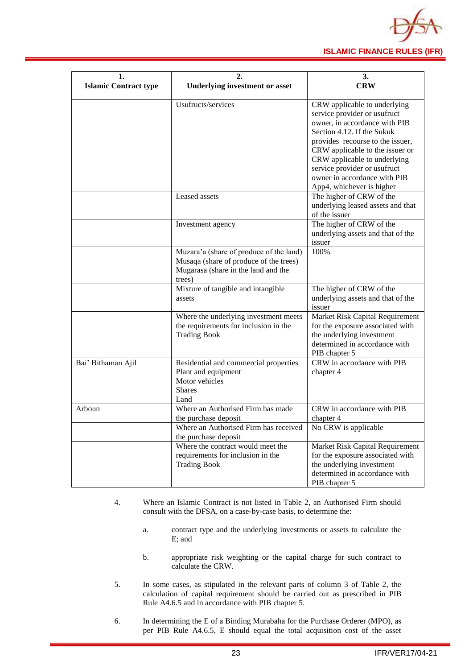

| 1.                           |                                                                                                                                    | 3.                                                                                                                                                                                                                                                                                                                              |  |  |  |  |  |
|------------------------------|------------------------------------------------------------------------------------------------------------------------------------|---------------------------------------------------------------------------------------------------------------------------------------------------------------------------------------------------------------------------------------------------------------------------------------------------------------------------------|--|--|--|--|--|
| <b>Islamic Contract type</b> | <b>Underlying investment or asset</b>                                                                                              | <b>CRW</b>                                                                                                                                                                                                                                                                                                                      |  |  |  |  |  |
|                              | Usufructs/services                                                                                                                 | CRW applicable to underlying<br>service provider or usufruct<br>owner, in accordance with PIB<br>Section 4.12. If the Sukuk<br>provides recourse to the issuer,<br>CRW applicable to the issuer or<br>CRW applicable to underlying<br>service provider or usufruct<br>owner in accordance with PIB<br>App4, whichever is higher |  |  |  |  |  |
|                              | Leased assets                                                                                                                      | The higher of CRW of the<br>underlying leased assets and that<br>of the issuer                                                                                                                                                                                                                                                  |  |  |  |  |  |
|                              | Investment agency                                                                                                                  | The higher of CRW of the<br>underlying assets and that of the<br>issuer                                                                                                                                                                                                                                                         |  |  |  |  |  |
|                              | Muzara'a (share of produce of the land)<br>Musaqa (share of produce of the trees)<br>Mugarasa (share in the land and the<br>trees) | 100%                                                                                                                                                                                                                                                                                                                            |  |  |  |  |  |
|                              | Mixture of tangible and intangible<br>assets                                                                                       | The higher of CRW of the<br>underlying assets and that of the<br>issuer                                                                                                                                                                                                                                                         |  |  |  |  |  |
|                              | Where the underlying investment meets<br>the requirements for inclusion in the<br><b>Trading Book</b>                              | Market Risk Capital Requirement<br>for the exposure associated with<br>the underlying investment<br>determined in accordance with<br>PIB chapter 5                                                                                                                                                                              |  |  |  |  |  |
| Bai' Bithaman Ajil           | Residential and commercial properties<br>Plant and equipment<br>Motor vehicles<br><b>Shares</b><br>Land                            | CRW in accordance with PIB<br>chapter 4                                                                                                                                                                                                                                                                                         |  |  |  |  |  |
| Arboun                       | Where an Authorised Firm has made<br>the purchase deposit<br>Where an Authorised Firm has received<br>the purchase deposit         | CRW in accordance with PIB<br>chapter 4<br>No CRW is applicable                                                                                                                                                                                                                                                                 |  |  |  |  |  |
|                              | Where the contract would meet the<br>requirements for inclusion in the<br><b>Trading Book</b>                                      | Market Risk Capital Requirement<br>for the exposure associated with<br>the underlying investment<br>determined in accordance with<br>PIB chapter 5                                                                                                                                                                              |  |  |  |  |  |

- 4. Where an Islamic Contract is not listed in Table 2, an Authorised Firm should consult with the DFSA, on a case-by-case basis, to determine the:
	- a. contract type and the underlying investments or assets to calculate the E; and
	- b. appropriate risk weighting or the capital charge for such contract to calculate the CRW.
- 5. In some cases, as stipulated in the relevant parts of column 3 of Table 2, the calculation of capital requirement should be carried out as prescribed in PIB Rule A4.6.5 and in accordance with PIB chapter 5.
- 6. In determining the E of a Binding Murabaha for the Purchase Orderer (MPO), as per PIB Rule A4.6.5, E should equal the total acquisition cost of the asset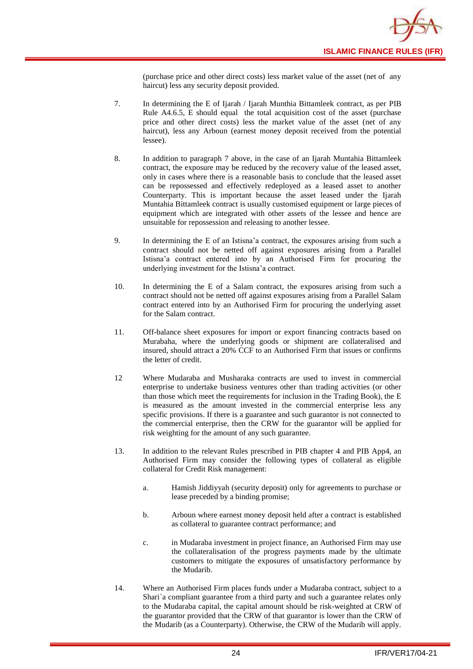

(purchase price and other direct costs) less market value of the asset (net of any haircut) less any security deposit provided.

- 7. In determining the E of Ijarah / Ijarah Munthia Bittamleek contract, as per PIB Rule A4.6.5, E should equal the total acquisition cost of the asset (purchase price and other direct costs) less the market value of the asset (net of any haircut), less any Arboun (earnest money deposit received from the potential lessee).
- 8. In addition to paragraph 7 above, in the case of an Ijarah Muntahia Bittamleek contract, the exposure may be reduced by the recovery value of the leased asset, only in cases where there is a reasonable basis to conclude that the leased asset can be repossessed and effectively redeployed as a leased asset to another Counterparty. This is important because the asset leased under the Ijarah Muntahia Bittamleek contract is usually customised equipment or large pieces of equipment which are integrated with other assets of the lessee and hence are unsuitable for repossession and releasing to another lessee.
- 9. In determining the E of an Istisna'a contract, the exposures arising from such a contract should not be netted off against exposures arising from a Parallel Istisna'a contract entered into by an Authorised Firm for procuring the underlying investment for the Istisna'a contract.
- 10. In determining the E of a Salam contract, the exposures arising from such a contract should not be netted off against exposures arising from a Parallel Salam contract entered into by an Authorised Firm for procuring the underlying asset for the Salam contract.
- 11. Off-balance sheet exposures for import or export financing contracts based on Murabaha, where the underlying goods or shipment are collateralised and insured, should attract a 20% CCF to an Authorised Firm that issues or confirms the letter of credit.
- 12 Where Mudaraba and Musharaka contracts are used to invest in commercial enterprise to undertake business ventures other than trading activities (or other than those which meet the requirements for inclusion in the Trading Book), the E is measured as the amount invested in the commercial enterprise less any specific provisions. If there is a guarantee and such guarantor is not connected to the commercial enterprise, then the CRW for the guarantor will be applied for risk weighting for the amount of any such guarantee.
- 13. In addition to the relevant Rules prescribed in PIB chapter 4 and PIB App4, an Authorised Firm may consider the following types of collateral as eligible collateral for Credit Risk management:
	- a. Hamish Jiddiyyah (security deposit) only for agreements to purchase or lease preceded by a binding promise;
	- b. Arboun where earnest money deposit held after a contract is established as collateral to guarantee contract performance; and
	- c. in Mudaraba investment in project finance, an Authorised Firm may use the collateralisation of the progress payments made by the ultimate customers to mitigate the exposures of unsatisfactory performance by the Mudarib.
- 14. Where an Authorised Firm places funds under a Mudaraba contract, subject to a Shari`a compliant guarantee from a third party and such a guarantee relates only to the Mudaraba capital, the capital amount should be risk-weighted at CRW of the guarantor provided that the CRW of that guarantor is lower than the CRW of the Mudarib (as a Counterparty). Otherwise, the CRW of the Mudarib will apply.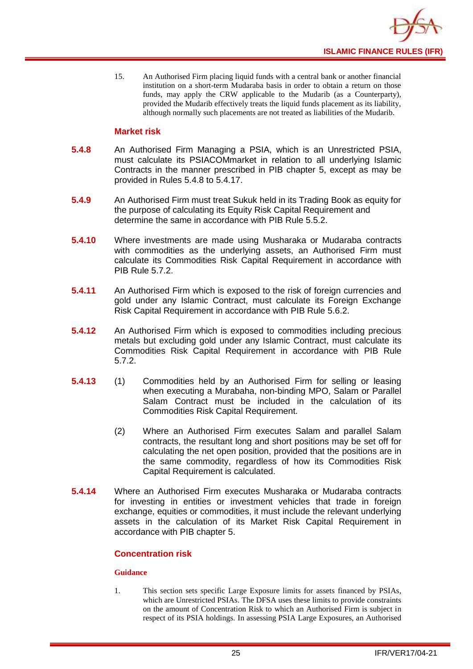

15. An Authorised Firm placing liquid funds with a central bank or another financial institution on a short-term Mudaraba basis in order to obtain a return on those funds, may apply the CRW applicable to the Mudarib (as a Counterparty), provided the Mudarib effectively treats the liquid funds placement as its liability, although normally such placements are not treated as liabilities of the Mudarib.

#### **Market risk**

- **5.4.8** An Authorised Firm Managing a PSIA, which is an Unrestricted PSIA, must calculate its PSIACOMmarket in relation to all underlying Islamic Contracts in the manner prescribed in PIB chapter 5, except as may be provided in Rules 5.4.8 to 5.4.17.
- **5.4.9** An Authorised Firm must treat Sukuk held in its Trading Book as equity for the purpose of calculating its Equity Risk Capital Requirement and determine the same in accordance with PIB Rule 5.5.2.
- **5.4.10** Where investments are made using Musharaka or Mudaraba contracts with commodities as the underlying assets, an Authorised Firm must calculate its Commodities Risk Capital Requirement in accordance with PIB Rule 5.7.2.
- **5.4.11** An Authorised Firm which is exposed to the risk of foreign currencies and gold under any Islamic Contract, must calculate its Foreign Exchange Risk Capital Requirement in accordance with PIB Rule 5.6.2.
- **5.4.12** An Authorised Firm which is exposed to commodities including precious metals but excluding gold under any Islamic Contract, must calculate its Commodities Risk Capital Requirement in accordance with PIB Rule 5.7.2.
- **5.4.13** (1) Commodities held by an Authorised Firm for selling or leasing when executing a Murabaha, non-binding MPO, Salam or Parallel Salam Contract must be included in the calculation of its Commodities Risk Capital Requirement.
	- (2) Where an Authorised Firm executes Salam and parallel Salam contracts, the resultant long and short positions may be set off for calculating the net open position, provided that the positions are in the same commodity, regardless of how its Commodities Risk Capital Requirement is calculated.
- **5.4.14** Where an Authorised Firm executes Musharaka or Mudaraba contracts for investing in entities or investment vehicles that trade in foreign exchange, equities or commodities, it must include the relevant underlying assets in the calculation of its Market Risk Capital Requirement in accordance with PIB chapter 5.

#### **Concentration risk**

#### **Guidance**

1. This section sets specific Large Exposure limits for assets financed by PSIAs, which are Unrestricted PSIAs. The DFSA uses these limits to provide constraints on the amount of Concentration Risk to which an Authorised Firm is subject in respect of its PSIA holdings. In assessing PSIA Large Exposures, an Authorised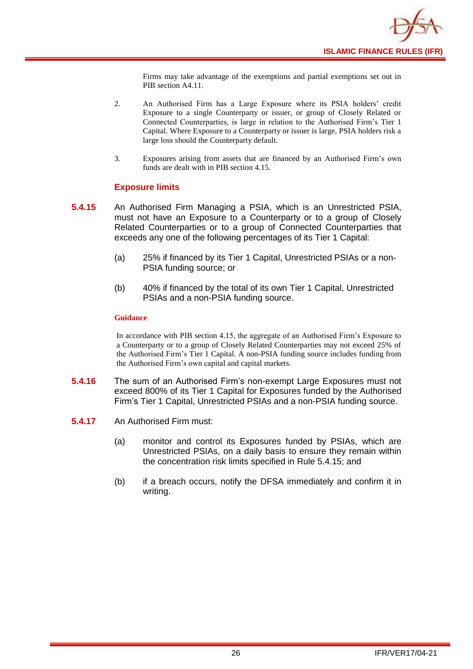

Firms may take advantage of the exemptions and partial exemptions set out in PIB section A4.11.

- 2. An Authorised Firm has a Large Exposure where its PSIA holders' credit Exposure to a single Counterparty or issuer, or group of Closely Related or Connected Counterparties, is large in relation to the Authorised Firm's Tier 1 Capital. Where Exposure to a Counterparty or issuer is large, PSIA holders risk a large loss should the Counterparty default.
- 3. Exposures arising from assets that are financed by an Authorised Firm's own funds are dealt with in PIB section 4.15.

#### **Exposure limits**

- **5.4.15** An Authorised Firm Managing a PSIA, which is an Unrestricted PSIA, must not have an Exposure to a Counterparty or to a group of Closely Related Counterparties or to a group of Connected Counterparties that exceeds any one of the following percentages of its Tier 1 Capital:
	- (a) 25% if financed by its Tier 1 Capital, Unrestricted PSIAs or a non-PSIA funding source; or
	- (b) 40% if financed by the total of its own Tier 1 Capital, Unrestricted PSIAs and a non-PSIA funding source.

#### **Guidance**

In accordance with PIB section 4.15, the aggregate of an Authorised Firm's Exposure to a Counterparty or to a group of Closely Related Counterparties may not exceed 25% of the Authorised Firm's Tier 1 Capital. A non-PSIA funding source includes funding from the Authorised Firm's own capital and capital markets.

- **5.4.16** The sum of an Authorised Firm's non-exempt Large Exposures must not exceed 800% of its Tier 1 Capital for Exposures funded by the Authorised Firm's Tier 1 Capital, Unrestricted PSIAs and a non-PSIA funding source.
- **5.4.17** An Authorised Firm must:
	- (a) monitor and control its Exposures funded by PSIAs, which are Unrestricted PSIAs, on a daily basis to ensure they remain within the concentration risk limits specified in Rule 5.4.15; and
	- (b) if a breach occurs, notify the DFSA immediately and confirm it in writing.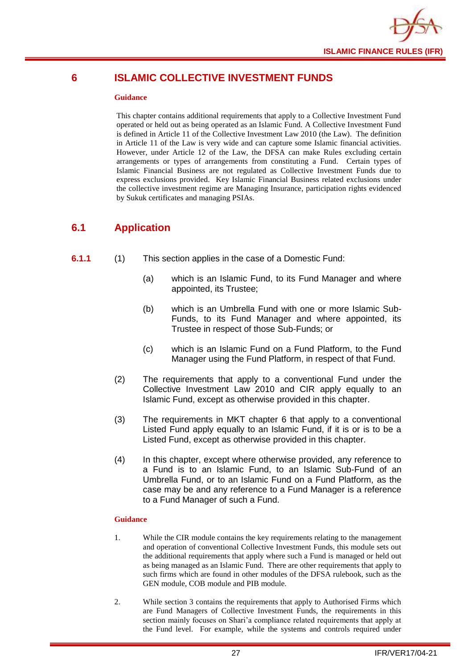

## <span id="page-29-0"></span>**6 ISLAMIC COLLECTIVE INVESTMENT FUNDS**

#### **Guidance**

This chapter contains additional requirements that apply to a Collective Investment Fund operated or held out as being operated as an Islamic Fund. A Collective Investment Fund is defined in Article 11 of the Collective Investment Law 2010 (the Law). The definition in Article 11 of the Law is very wide and can capture some Islamic financial activities. However, under Article 12 of the Law, the DFSA can make Rules excluding certain arrangements or types of arrangements from constituting a Fund. Certain types of Islamic Financial Business are not regulated as Collective Investment Funds due to express exclusions provided. Key Islamic Financial Business related exclusions under the collective investment regime are Managing Insurance, participation rights evidenced by Sukuk certificates and managing PSIAs.

## <span id="page-29-1"></span>**6.1 Application**

- **6.1.1** (1) This section applies in the case of a Domestic Fund:
	- (a) which is an Islamic Fund, to its Fund Manager and where appointed, its Trustee;
	- (b) which is an Umbrella Fund with one or more Islamic Sub-Funds, to its Fund Manager and where appointed, its Trustee in respect of those Sub-Funds; or
	- (c) which is an Islamic Fund on a Fund Platform, to the Fund Manager using the Fund Platform, in respect of that Fund.
	- (2) The requirements that apply to a conventional Fund under the Collective Investment Law 2010 and CIR apply equally to an Islamic Fund, except as otherwise provided in this chapter.
	- (3) The requirements in MKT chapter 6 that apply to a conventional Listed Fund apply equally to an Islamic Fund, if it is or is to be a Listed Fund, except as otherwise provided in this chapter.
	- (4) In this chapter, except where otherwise provided, any reference to a Fund is to an Islamic Fund, to an Islamic Sub-Fund of an Umbrella Fund, or to an Islamic Fund on a Fund Platform, as the case may be and any reference to a Fund Manager is a reference to a Fund Manager of such a Fund.

- 1. While the CIR module contains the key requirements relating to the management and operation of conventional Collective Investment Funds, this module sets out the additional requirements that apply where such a Fund is managed or held out as being managed as an Islamic Fund. There are other requirements that apply to such firms which are found in other modules of the DFSA rulebook, such as the GEN module, COB module and PIB module.
- 2. While section 3 contains the requirements that apply to Authorised Firms which are Fund Managers of Collective Investment Funds, the requirements in this section mainly focuses on Shari'a compliance related requirements that apply at the Fund level. For example, while the systems and controls required under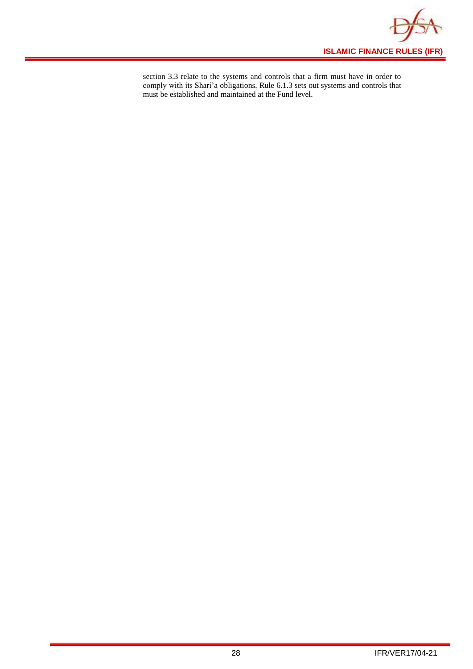

section 3.3 relate to the systems and controls that a firm must have in order to comply with its Shari'a obligations, Rule 6.1.3 sets out systems and controls that must be established and maintained at the Fund level.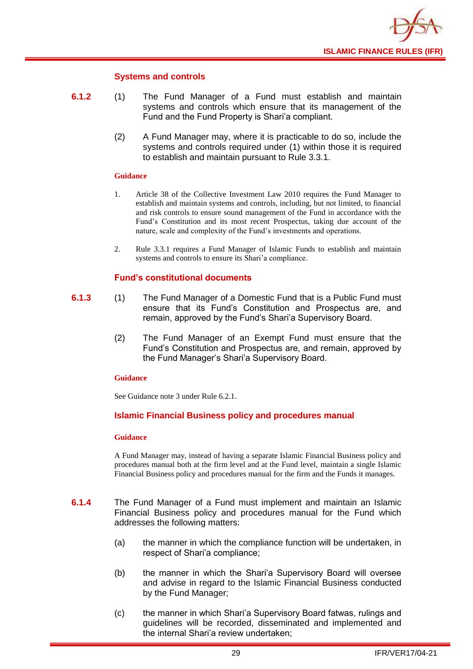

#### **Systems and controls**

- **6.1.2** (1) The Fund Manager of a Fund must establish and maintain systems and controls which ensure that its management of the Fund and the Fund Property is Shari'a compliant.
	- (2) A Fund Manager may, where it is practicable to do so, include the systems and controls required under (1) within those it is required to establish and maintain pursuant to Rule 3.3.1.

#### **Guidance**

- 1. Article 38 of the Collective Investment Law 2010 requires the Fund Manager to establish and maintain systems and controls, including, but not limited, to financial and risk controls to ensure sound management of the Fund in accordance with the Fund's Constitution and its most recent Prospectus, taking due account of the nature, scale and complexity of the Fund's investments and operations.
- 2. Rule 3.3.1 requires a Fund Manager of Islamic Funds to establish and maintain systems and controls to ensure its Shari'a compliance.

#### **Fund's constitutional documents**

- **6.1.3** (1) The Fund Manager of a Domestic Fund that is a Public Fund must ensure that its Fund's Constitution and Prospectus are, and remain, approved by the Fund's Shari'a Supervisory Board.
	- (2) The Fund Manager of an Exempt Fund must ensure that the Fund's Constitution and Prospectus are, and remain, approved by the Fund Manager's Shari'a Supervisory Board.

#### **Guidance**

See Guidance note 3 under Rule 6.2.1.

#### **Islamic Financial Business policy and procedures manual**

#### **Guidance**

A Fund Manager may, instead of having a separate Islamic Financial Business policy and procedures manual both at the firm level and at the Fund level, maintain a single Islamic Financial Business policy and procedures manual for the firm and the Funds it manages.

- **6.1.4** The Fund Manager of a Fund must implement and maintain an Islamic Financial Business policy and procedures manual for the Fund which addresses the following matters:
	- (a) the manner in which the compliance function will be undertaken, in respect of Shari'a compliance;
	- (b) the manner in which the Shari'a Supervisory Board will oversee and advise in regard to the Islamic Financial Business conducted by the Fund Manager;
	- (c) the manner in which Shari'a Supervisory Board fatwas, rulings and guidelines will be recorded, disseminated and implemented and the internal Shari'a review undertaken;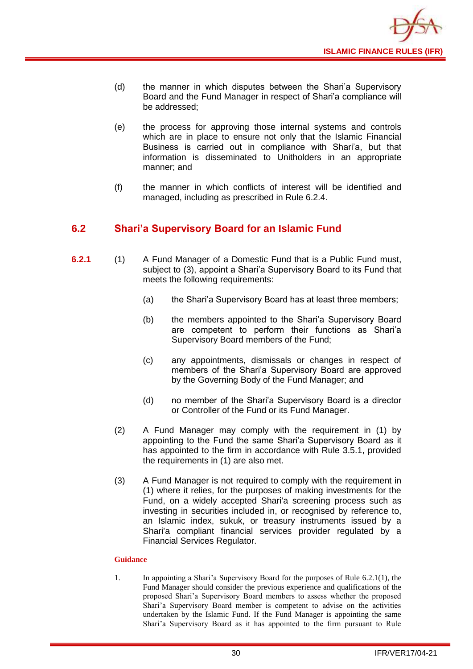

- (d) the manner in which disputes between the Shari'a Supervisory Board and the Fund Manager in respect of Shari'a compliance will be addressed;
- (e) the process for approving those internal systems and controls which are in place to ensure not only that the Islamic Financial Business is carried out in compliance with Shari'a, but that information is disseminated to Unitholders in an appropriate manner; and
- (f) the manner in which conflicts of interest will be identified and managed, including as prescribed in Rule 6.2.4.

## <span id="page-32-0"></span>**6.2 Shari'a Supervisory Board for an Islamic Fund**

- **6.2.1** (1) A Fund Manager of a Domestic Fund that is a Public Fund must, subject to (3), appoint a Shari'a Supervisory Board to its Fund that meets the following requirements:
	- (a) the Shari'a Supervisory Board has at least three members;
	- (b) the members appointed to the Shari'a Supervisory Board are competent to perform their functions as Shari'a Supervisory Board members of the Fund;
	- (c) any appointments, dismissals or changes in respect of members of the Shari'a Supervisory Board are approved by the Governing Body of the Fund Manager; and
	- (d) no member of the Shari'a Supervisory Board is a director or Controller of the Fund or its Fund Manager.
	- (2) A Fund Manager may comply with the requirement in (1) by appointing to the Fund the same Shari'a Supervisory Board as it has appointed to the firm in accordance with Rule 3.5.1, provided the requirements in (1) are also met.
	- (3) A Fund Manager is not required to comply with the requirement in (1) where it relies, for the purposes of making investments for the Fund, on a widely accepted Shari'a screening process such as investing in securities included in, or recognised by reference to, an Islamic index, sukuk, or treasury instruments issued by a Shari'a compliant financial services provider regulated by a Financial Services Regulator.

#### **Guidance**

1. In appointing a Shari'a Supervisory Board for the purposes of Rule 6.2.1(1), the Fund Manager should consider the previous experience and qualifications of the proposed Shari'a Supervisory Board members to assess whether the proposed Shari'a Supervisory Board member is competent to advise on the activities undertaken by the Islamic Fund. If the Fund Manager is appointing the same Shari'a Supervisory Board as it has appointed to the firm pursuant to Rule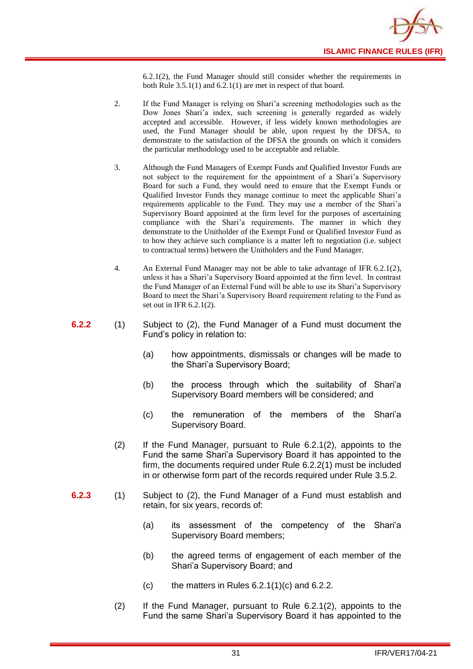

6.2.1(2), the Fund Manager should still consider whether the requirements in both Rule 3.5.1(1) and 6.2.1(1) are met in respect of that board.

- 2. If the Fund Manager is relying on Shari'a screening methodologies such as the Dow Jones Shari'a index, such screening is generally regarded as widely accepted and accessible. However, if less widely known methodologies are used, the Fund Manager should be able, upon request by the DFSA, to demonstrate to the satisfaction of the DFSA the grounds on which it considers the particular methodology used to be acceptable and reliable.
- 3. Although the Fund Managers of Exempt Funds and Qualified Investor Funds are not subject to the requirement for the appointment of a Shari'a Supervisory Board for such a Fund, they would need to ensure that the Exempt Funds or Qualified Investor Funds they manage continue to meet the applicable Shari'a requirements applicable to the Fund. They may use a member of the Shari'a Supervisory Board appointed at the firm level for the purposes of ascertaining compliance with the Shari'a requirements. The manner in which they demonstrate to the Unitholder of the Exempt Fund or Qualified Investor Fund as to how they achieve such compliance is a matter left to negotiation (i.e. subject to contractual terms) between the Unitholders and the Fund Manager.
- 4. An External Fund Manager may not be able to take advantage of IFR 6.2.1(2), unless it has a Shari'a Supervisory Board appointed at the firm level. In contrast the Fund Manager of an External Fund will be able to use its Shari'a Supervisory Board to meet the Shari'a Supervisory Board requirement relating to the Fund as set out in IFR 6.2.1(2).
- **6.2.2** (1) Subject to (2), the Fund Manager of a Fund must document the Fund's policy in relation to:
	- (a) how appointments, dismissals or changes will be made to the Shari'a Supervisory Board;
	- (b) the process through which the suitability of Shari'a Supervisory Board members will be considered; and
	- (c) the remuneration of the members of the Shari'a Supervisory Board.
	- (2) If the Fund Manager, pursuant to Rule 6.2.1(2), appoints to the Fund the same Shari'a Supervisory Board it has appointed to the firm, the documents required under Rule 6.2.2(1) must be included in or otherwise form part of the records required under Rule 3.5.2.
- **6.2.3** (1) Subject to (2), the Fund Manager of a Fund must establish and retain, for six years, records of:
	- (a) its assessment of the competency of the Shari'a Supervisory Board members;
	- (b) the agreed terms of engagement of each member of the Shari'a Supervisory Board; and
	- $(c)$  the matters in Rules 6.2.1(1)(c) and 6.2.2.
	- (2) If the Fund Manager, pursuant to Rule 6.2.1(2), appoints to the Fund the same Shari'a Supervisory Board it has appointed to the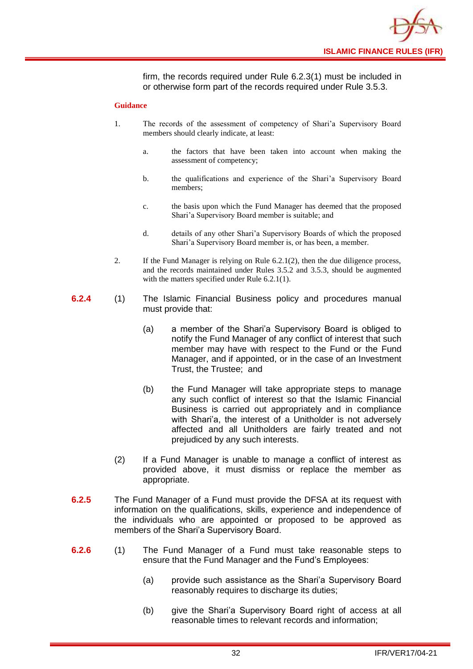

firm, the records required under Rule 6.2.3(1) must be included in or otherwise form part of the records required under Rule 3.5.3.

- 1. The records of the assessment of competency of Shari'a Supervisory Board members should clearly indicate, at least:
	- a. the factors that have been taken into account when making the assessment of competency;
	- b. the qualifications and experience of the Shari'a Supervisory Board members;
	- c. the basis upon which the Fund Manager has deemed that the proposed Shari'a Supervisory Board member is suitable; and
	- d. details of any other Shari'a Supervisory Boards of which the proposed Shari'a Supervisory Board member is, or has been, a member.
- 2. If the Fund Manager is relying on Rule 6.2.1(2), then the due diligence process, and the records maintained under Rules 3.5.2 and 3.5.3, should be augmented with the matters specified under Rule 6.2.1(1).
- **6.2.4** (1) The Islamic Financial Business policy and procedures manual must provide that:
	- (a) a member of the Shari'a Supervisory Board is obliged to notify the Fund Manager of any conflict of interest that such member may have with respect to the Fund or the Fund Manager, and if appointed, or in the case of an Investment Trust, the Trustee; and
	- (b) the Fund Manager will take appropriate steps to manage any such conflict of interest so that the Islamic Financial Business is carried out appropriately and in compliance with Shari'a, the interest of a Unitholder is not adversely affected and all Unitholders are fairly treated and not prejudiced by any such interests.
	- (2) If a Fund Manager is unable to manage a conflict of interest as provided above, it must dismiss or replace the member as appropriate.
- **6.2.5** The Fund Manager of a Fund must provide the DFSA at its request with information on the qualifications, skills, experience and independence of the individuals who are appointed or proposed to be approved as members of the Shari'a Supervisory Board.
- **6.2.6** (1) The Fund Manager of a Fund must take reasonable steps to ensure that the Fund Manager and the Fund's Employees:
	- (a) provide such assistance as the Shari'a Supervisory Board reasonably requires to discharge its duties;
	- (b) give the Shari'a Supervisory Board right of access at all reasonable times to relevant records and information;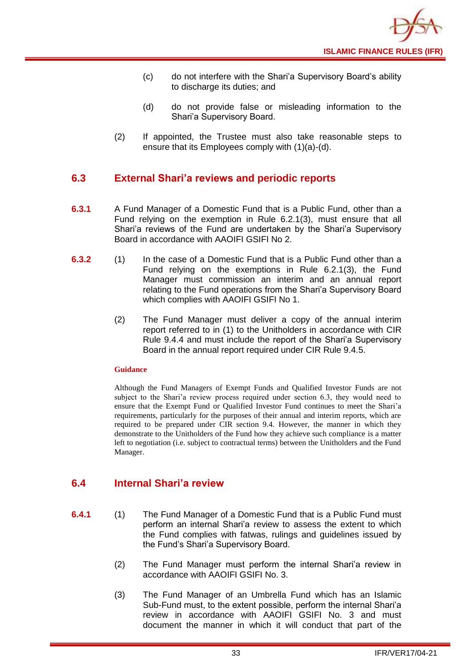- (c) do not interfere with the Shari'a Supervisory Board's ability to discharge its duties; and
- (d) do not provide false or misleading information to the Shari'a Supervisory Board.
- (2) If appointed, the Trustee must also take reasonable steps to ensure that its Employees comply with (1)(a)-(d).

## <span id="page-35-0"></span>**6.3 External Shari'a reviews and periodic reports**

- **6.3.1** A Fund Manager of a Domestic Fund that is a Public Fund, other than a Fund relying on the exemption in Rule 6.2.1(3), must ensure that all Shari'a reviews of the Fund are undertaken by the Shari'a Supervisory Board in accordance with AAOIFI GSIFI No 2.
- **6.3.2** (1) In the case of a Domestic Fund that is a Public Fund other than a Fund relying on the exemptions in Rule 6.2.1(3), the Fund Manager must commission an interim and an annual report relating to the Fund operations from the Shari'a Supervisory Board which complies with AAOIFI GSIFI No 1.
	- (2) The Fund Manager must deliver a copy of the annual interim report referred to in (1) to the Unitholders in accordance with CIR Rule 9.4.4 and must include the report of the Shari'a Supervisory Board in the annual report required under CIR Rule 9.4.5.

#### **Guidance**

Although the Fund Managers of Exempt Funds and Qualified Investor Funds are not subject to the Shari'a review process required under section 6.3, they would need to ensure that the Exempt Fund or Qualified Investor Fund continues to meet the Shari'a requirements, particularly for the purposes of their annual and interim reports, which are required to be prepared under CIR section 9.4. However, the manner in which they demonstrate to the Unitholders of the Fund how they achieve such compliance is a matter left to negotiation (i.e. subject to contractual terms) between the Unitholders and the Fund Manager.

## <span id="page-35-1"></span>**6.4 Internal Shari'a review**

- **6.4.1** (1) The Fund Manager of a Domestic Fund that is a Public Fund must perform an internal Shari'a review to assess the extent to which the Fund complies with fatwas, rulings and guidelines issued by the Fund's Shari'a Supervisory Board.
	- (2) The Fund Manager must perform the internal Shari'a review in accordance with AAOIFI GSIFI No. 3.
	- (3) The Fund Manager of an Umbrella Fund which has an Islamic Sub-Fund must, to the extent possible, perform the internal Shari'a review in accordance with AAOIFI GSIFI No. 3 and must document the manner in which it will conduct that part of the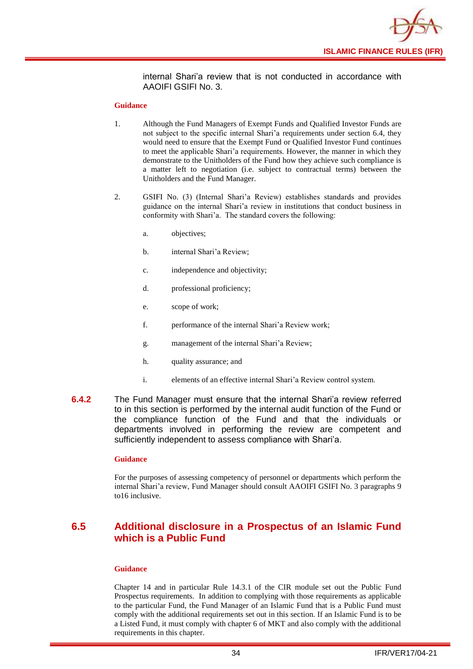

internal Shari'a review that is not conducted in accordance with AAOIFI GSIFI No. 3.

#### **Guidance**

- 1. Although the Fund Managers of Exempt Funds and Qualified Investor Funds are not subject to the specific internal Shari'a requirements under section 6.4, they would need to ensure that the Exempt Fund or Qualified Investor Fund continues to meet the applicable Shari'a requirements. However, the manner in which they demonstrate to the Unitholders of the Fund how they achieve such compliance is a matter left to negotiation (i.e. subject to contractual terms) between the Unitholders and the Fund Manager.
- 2. GSIFI No. (3) (Internal Shari'a Review) establishes standards and provides guidance on the internal Shari'a review in institutions that conduct business in conformity with Shari'a. The standard covers the following:
	- a. objectives;
	- b. internal Shari'a Review;
	- c. independence and objectivity;
	- d. professional proficiency;
	- e. scope of work;
	- f. performance of the internal Shari'a Review work;
	- g. management of the internal Shari'a Review;
	- h. quality assurance; and
	- i. elements of an effective internal Shari'a Review control system.
- **6.4.2** The Fund Manager must ensure that the internal Shari'a review referred to in this section is performed by the internal audit function of the Fund or the compliance function of the Fund and that the individuals or departments involved in performing the review are competent and sufficiently independent to assess compliance with Shari'a.

#### **Guidance**

For the purposes of assessing competency of personnel or departments which perform the internal Shari'a review, Fund Manager should consult AAOIFI GSIFI No. 3 paragraphs 9 to16 inclusive.

## <span id="page-36-0"></span>**6.5 Additional disclosure in a Prospectus of an Islamic Fund which is a Public Fund**

#### **Guidance**

Chapter 14 and in particular Rule 14.3.1 of the CIR module set out the Public Fund Prospectus requirements. In addition to complying with those requirements as applicable to the particular Fund, the Fund Manager of an Islamic Fund that is a Public Fund must comply with the additional requirements set out in this section. If an Islamic Fund is to be a Listed Fund, it must comply with chapter 6 of MKT and also comply with the additional requirements in this chapter.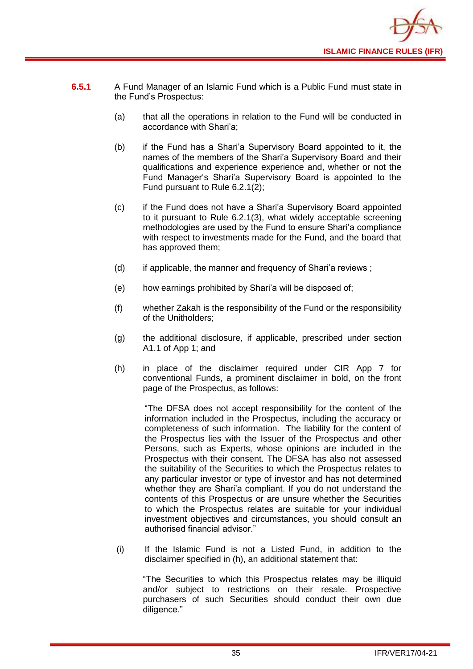

- **6.5.1** A Fund Manager of an Islamic Fund which is a Public Fund must state in the Fund's Prospectus:
	- (a) that all the operations in relation to the Fund will be conducted in accordance with Shari'a;
	- (b) if the Fund has a Shari'a Supervisory Board appointed to it, the names of the members of the Shari'a Supervisory Board and their qualifications and experience experience and, whether or not the Fund Manager's Shari'a Supervisory Board is appointed to the Fund pursuant to Rule 6.2.1(2);
	- (c) if the Fund does not have a Shari'a Supervisory Board appointed to it pursuant to Rule 6.2.1(3), what widely acceptable screening methodologies are used by the Fund to ensure Shari'a compliance with respect to investments made for the Fund, and the board that has approved them;
	- (d) if applicable, the manner and frequency of Shari'a reviews ;
	- (e) how earnings prohibited by Shari'a will be disposed of;
	- (f) whether Zakah is the responsibility of the Fund or the responsibility of the Unitholders;
	- (g) the additional disclosure, if applicable, prescribed under section A1.1 of App 1; and
	- (h) in place of the disclaimer required under CIR App 7 for conventional Funds, a prominent disclaimer in bold, on the front page of the Prospectus, as follows:

"The DFSA does not accept responsibility for the content of the information included in the Prospectus, including the accuracy or completeness of such information. The liability for the content of the Prospectus lies with the Issuer of the Prospectus and other Persons, such as Experts, whose opinions are included in the Prospectus with their consent. The DFSA has also not assessed the suitability of the Securities to which the Prospectus relates to any particular investor or type of investor and has not determined whether they are Shari'a compliant. If you do not understand the contents of this Prospectus or are unsure whether the Securities to which the Prospectus relates are suitable for your individual investment objectives and circumstances, you should consult an authorised financial advisor."

(i) If the Islamic Fund is not a Listed Fund, in addition to the disclaimer specified in (h), an additional statement that:

"The Securities to which this Prospectus relates may be illiquid and/or subject to restrictions on their resale. Prospective purchasers of such Securities should conduct their own due diligence."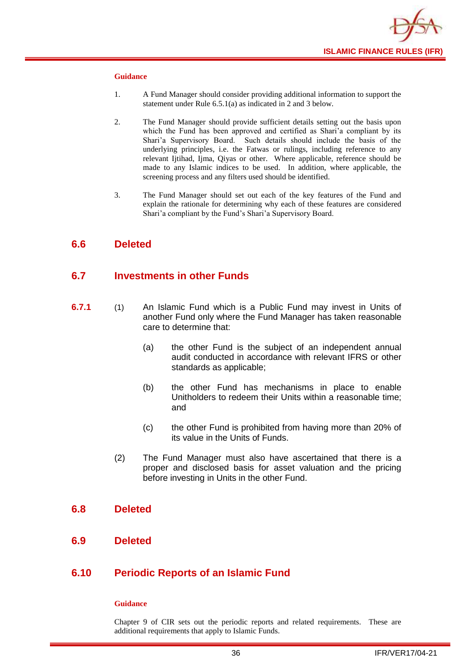

#### **Guidance**

- 1. A Fund Manager should consider providing additional information to support the statement under Rule 6.5.1(a) as indicated in 2 and 3 below.
- 2. The Fund Manager should provide sufficient details setting out the basis upon which the Fund has been approved and certified as Shari'a compliant by its Shari'a Supervisory Board. Such details should include the basis of the underlying principles, i.e. the Fatwas or rulings, including reference to any relevant Ijtihad, Ijma, Qiyas or other. Where applicable, reference should be made to any Islamic indices to be used. In addition, where applicable, the screening process and any filters used should be identified.
- 3. The Fund Manager should set out each of the key features of the Fund and explain the rationale for determining why each of these features are considered Shari'a compliant by the Fund's Shari'a Supervisory Board.

## <span id="page-38-0"></span>**6.6 Deleted**

### <span id="page-38-1"></span>**6.7 Investments in other Funds**

- **6.7.1** (1) An Islamic Fund which is a Public Fund may invest in Units of another [Fund](http://fsahandbook.info/FSA/glossary.jsp?doc=glossary/glossary&gloss=G1043#G1043) only where the Fund Manager has taken reasonable care to determine that:
	- (a) the other Fund is the subject of an independent annual audit conducted in accordance with relevant IFRS or other standards as applicable;
	- (b) the other Fund has mechanisms in place to enable [Unitholders](http://fsahandbook.info/FSA/glossary.jsp?doc=glossary/glossary&gloss=G1233#G1233) to redeem their [Units](http://fsahandbook.info/FSA/glossary.jsp?doc=glossary/glossary&gloss=G1230#G1230) within a reasonable time; and
	- (c) the other Fund is prohibited from having more than 20% of its value in the [Units](http://fsahandbook.info/FSA/glossary.jsp?doc=glossary/glossary&gloss=G1230#G1230) of Funds.
	- (2) The Fund Manager must also have ascertained that there is a proper and disclosed basis for asset valuation and the pricing before investing in [Units](http://fsahandbook.info/FSA/glossary.jsp?doc=glossary/glossary&gloss=G1230#G1230) in the other [Fund.](http://fsahandbook.info/FSA/glossary.jsp?doc=glossary/glossary&gloss=G1043#G1043)

#### <span id="page-38-2"></span>**6.8 Deleted**

<span id="page-38-3"></span>**6.9 Deleted**

## <span id="page-38-4"></span>**6.10 Periodic Reports of an Islamic Fund**

#### **Guidance**

Chapter 9 of CIR sets out the periodic reports and related requirements. These are additional requirements that apply to Islamic Funds.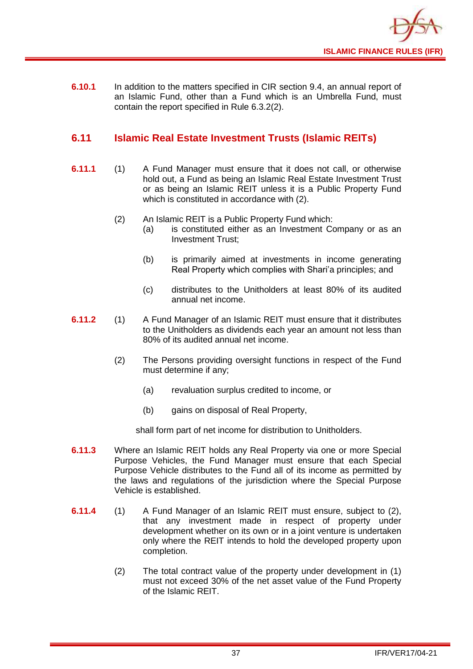

**6.10.1** In addition to the matters specified in CIR section 9.4, an annual report of an Islamic Fund, other than a Fund which is an [Umbrella](http://fsahandbook.info/FSA/glossary-html/handbook/Glossary/U?definition=G1222) Fund, must contain the report specified in Rule 6.3.2(2).

## <span id="page-39-0"></span>**6.11 Islamic Real Estate Investment Trusts (Islamic REITs)**

- **6.11.1** (1) A Fund Manager must ensure that it does not call, or otherwise hold out, a Fund as being an Islamic Real Estate Investment Trust or as being an Islamic REIT unless it is a Public Property Fund which is constituted in accordance with (2).
	- (2) An Islamic REIT is a Public Property Fund which:
		- (a) is constituted either as an Investment Company or as an Investment Trust;
		- (b) is primarily aimed at investments in income generating Real Property which complies with Shari'a principles; and
		- (c) distributes to the Unitholders at least 80% of its audited annual net income.
- **6.11.2** (1) A Fund Manager of an Islamic REIT must ensure that it distributes to the Unitholders as dividends each year an amount not less than 80% of its audited annual net income.
	- (2) The Persons providing oversight functions in respect of the Fund must determine if any;
		- (a) revaluation surplus credited to income, or
		- (b) gains on disposal of Real Property,

shall form part of net income for distribution to Unitholders.

- **6.11.3** Where an Islamic REIT holds any Real Property via one or more Special Purpose Vehicles, the Fund Manager must ensure that each Special Purpose Vehicle distributes to the Fund all of its income as permitted by the laws and regulations of the jurisdiction where the Special Purpose Vehicle is established.
- **6.11.4** (1) A Fund Manager of an Islamic REIT must ensure, subject to (2), that any investment made in respect of property under development whether on its own or in a joint venture is undertaken only where the REIT intends to hold the developed property upon completion.
	- (2) The total contract value of the property under development in (1) must not exceed 30% of the net asset value of the Fund Property of the Islamic REIT.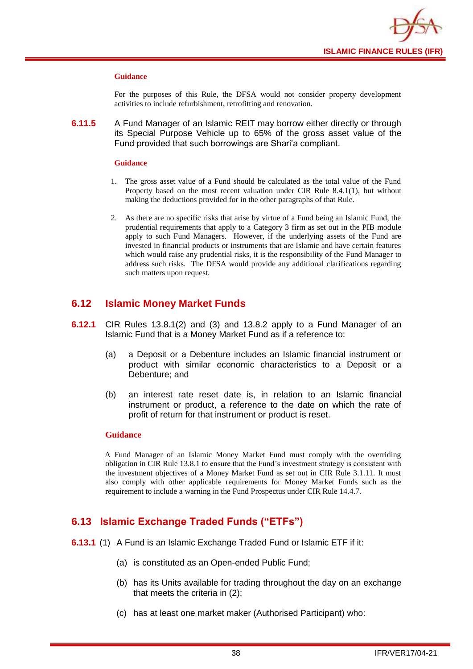

#### **Guidance**

For the purposes of this Rule, the DFSA would not consider property development activities to include refurbishment, retrofitting and renovation.

**6.11.5** A Fund Manager of an Islamic REIT may borrow either directly or through its Special Purpose Vehicle up to 65% of the gross asset value of the Fund provided that such borrowings are Shari'a compliant.

#### **Guidance**

- 1. The gross asset value of a Fund should be calculated as the total value of the Fund Property based on the most recent valuation under CIR Rule 8.4.1(1), but without making the deductions provided for in the other paragraphs of that Rule.
- 2. As there are no specific risks that arise by virtue of a Fund being an Islamic Fund, the prudential requirements that apply to a Category 3 firm as set out in the PIB module apply to such Fund Managers. However, if the underlying assets of the Fund are invested in financial products or instruments that are Islamic and have certain features which would raise any prudential risks, it is the responsibility of the Fund Manager to address such risks. The DFSA would provide any additional clarifications regarding such matters upon request.

## <span id="page-40-0"></span>**6.12 Islamic Money Market Funds**

- **6.12.1** CIR Rules 13.8.1(2) and (3) and 13.8.2 apply to a Fund Manager of an Islamic Fund that is a Money Market Fund as if a reference to:
	- (a) a Deposit or a Debenture includes an Islamic financial instrument or product with similar economic characteristics to a Deposit or a Debenture; and
	- (b) an interest rate reset date is, in relation to an Islamic financial instrument or product, a reference to the date on which the rate of profit of return for that instrument or product is reset.

#### **Guidance**

A Fund Manager of an Islamic Money Market Fund must comply with the overriding obligation in CIR Rule 13.8.1 to ensure that the Fund's investment strategy is consistent with the investment objectives of a Money Market Fund as set out in CIR Rule 3.1.11. It must also comply with other applicable requirements for Money Market Funds such as the requirement to include a warning in the Fund Prospectus under CIR Rule 14.4.7.

## <span id="page-40-1"></span>**6.13 Islamic Exchange Traded Funds ("ETFs")**

- **6.13.1** (1) A Fund is an Islamic Exchange Traded Fund or Islamic ETF if it:
	- (a) is constituted as an Open-ended Public Fund;
	- (b) has its Units available for trading throughout the day on an exchange that meets the criteria in (2);
	- (c) has at least one market maker (Authorised Participant) who: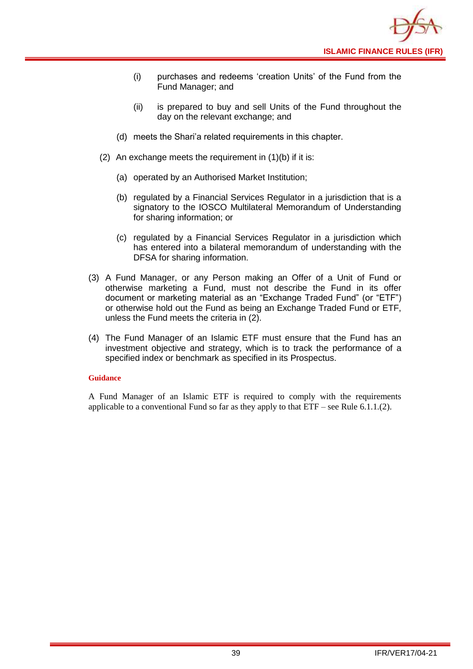

- (i) purchases and redeems 'creation Units' of the Fund from the Fund Manager; and
- (ii) is prepared to buy and sell Units of the Fund throughout the day on the relevant exchange; and
- (d) meets the Shari'a related requirements in this chapter.
- (2) An exchange meets the requirement in (1)(b) if it is:
	- (a) operated by an Authorised Market Institution;
	- (b) regulated by a Financial Services Regulator in a jurisdiction that is a signatory to the IOSCO Multilateral Memorandum of Understanding for sharing information; or
	- (c) regulated by a Financial Services Regulator in a jurisdiction which has entered into a bilateral memorandum of understanding with the DFSA for sharing information.
- (3) A Fund Manager, or any Person making an Offer of a Unit of Fund or otherwise marketing a Fund, must not describe the Fund in its offer document or marketing material as an "Exchange Traded Fund" (or "ETF") or otherwise hold out the Fund as being an Exchange Traded Fund or ETF, unless the Fund meets the criteria in (2).
- (4) The Fund Manager of an Islamic ETF must ensure that the Fund has an investment objective and strategy, which is to track the performance of a specified index or benchmark as specified in its Prospectus.

#### **Guidance**

A Fund Manager of an Islamic ETF is required to comply with the requirements applicable to a conventional Fund so far as they apply to that  $ETF$  – see Rule 6.1.1.(2).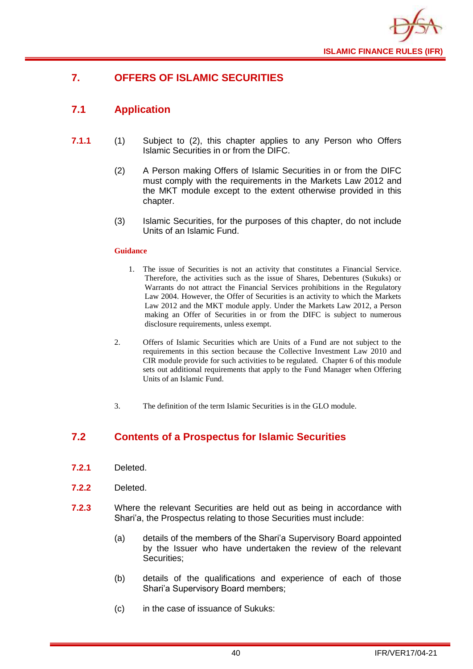

## <span id="page-42-0"></span>**7. OFFERS OF ISLAMIC SECURITIES**

## <span id="page-42-1"></span>**7.1 Application**

- **7.1.1** (1) Subject to (2), this chapter applies to any Person who Offers Islamic Securities in or from the DIFC.
	- (2) A Person making Offers of Islamic Securities in or from the DIFC must comply with the requirements in the Markets Law 2012 and the MKT module except to the extent otherwise provided in this chapter.
	- (3) Islamic Securities, for the purposes of this chapter, do not include Units of an Islamic Fund.

#### **Guidance**

- 1. The issue of Securities is not an activity that constitutes a Financial Service. Therefore, the activities such as the issue of Shares, Debentures (Sukuks) or Warrants do not attract the Financial Services prohibitions in the Regulatory Law 2004. However, the Offer of Securities is an activity to which the Markets Law 2012 and the MKT module apply. Under the Markets Law 2012, a Person making an Offer of Securities in or from the DIFC is subject to numerous disclosure requirements, unless exempt.
- 2. Offers of Islamic Securities which are Units of a Fund are not subject to the requirements in this section because the Collective Investment Law 2010 and CIR module provide for such activities to be regulated. Chapter 6 of this module sets out additional requirements that apply to the Fund Manager when Offering Units of an Islamic Fund.
- 3. The definition of the term Islamic Securities is in the GLO module.

## <span id="page-42-2"></span>**7.2 Contents of a Prospectus for Islamic Securities**

- **7.2.1** Deleted.
- **7.2.2** Deleted.
- **7.2.3** Where the relevant Securities are held out as being in accordance with Shari'a, the Prospectus relating to those Securities must include:
	- (a) details of the members of the Shari'a Supervisory Board appointed by the Issuer who have undertaken the review of the relevant Securities;
	- (b) details of the qualifications and experience of each of those Shari'a Supervisory Board members;
	- (c) in the case of issuance of Sukuks: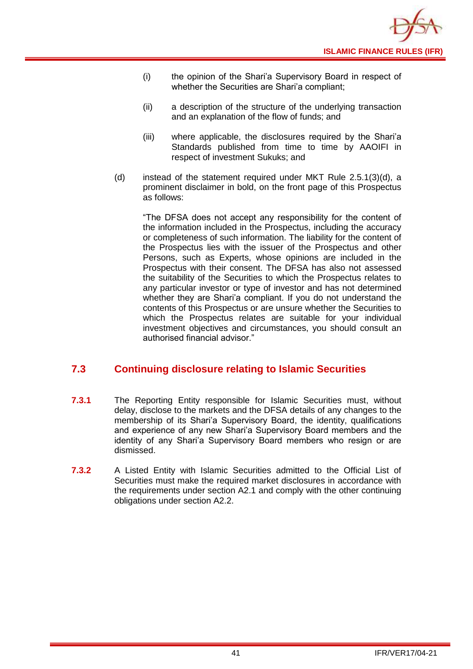- (i) the opinion of the Shari'a Supervisory Board in respect of whether the Securities are Shari'a compliant;
- (ii) a description of the structure of the underlying transaction and an explanation of the flow of funds; and
- (iii) where applicable, the disclosures required by the Shari'a Standards published from time to time by AAOIFI in respect of investment Sukuks; and
- (d) instead of the statement required under MKT Rule 2.5.1(3)(d), a prominent disclaimer in bold, on the front page of this Prospectus as follows:

"The DFSA does not accept any responsibility for the content of the information included in the Prospectus, including the accuracy or completeness of such information. The liability for the content of the Prospectus lies with the issuer of the Prospectus and other Persons, such as Experts, whose opinions are included in the Prospectus with their consent. The DFSA has also not assessed the suitability of the Securities to which the Prospectus relates to any particular investor or type of investor and has not determined whether they are Shari'a compliant. If you do not understand the contents of this Prospectus or are unsure whether the Securities to which the Prospectus relates are suitable for your individual investment objectives and circumstances, you should consult an authorised financial advisor."

## <span id="page-43-0"></span>**7.3 Continuing disclosure relating to Islamic Securities**

- **7.3.1** The Reporting Entity responsible for Islamic Securities must, without delay, disclose to the markets and the DFSA details of any changes to the membership of its Shari'a Supervisory Board, the identity, qualifications and experience of any new Shari'a Supervisory Board members and the identity of any Shari'a Supervisory Board members who resign or are dismissed.
- **7.3.2** A Listed Entity with Islamic Securities admitted to the Official List of Securities must make the required market disclosures in accordance with the requirements under section A2.1 and comply with the other continuing obligations under section A2.2.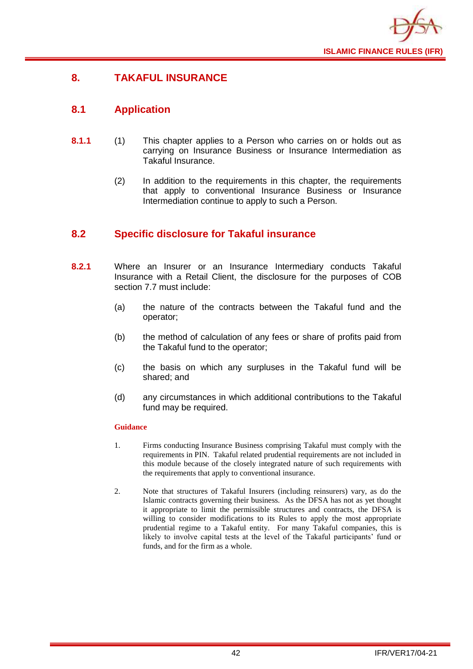

## <span id="page-44-0"></span>**8. TAKAFUL INSURANCE**

## <span id="page-44-1"></span>**8.1 Application**

- **8.1.1** (1) This chapter applies to a Person who carries on or holds out as carrying on Insurance Business or Insurance Intermediation as Takaful Insurance.
	- (2) In addition to the requirements in this chapter, the requirements that apply to conventional Insurance Business or Insurance Intermediation continue to apply to such a Person.

## <span id="page-44-2"></span>**8.2 Specific disclosure for Takaful insurance**

- **8.2.1** Where an Insurer or an Insurance Intermediary conducts Takaful Insurance with a Retail Client, the disclosure for the purposes of COB section 7.7 must include:
	- (a) the nature of the contracts between the Takaful fund and the operator;
	- (b) the method of calculation of any fees or share of profits paid from the Takaful fund to the operator;
	- (c) the basis on which any surpluses in the Takaful fund will be shared; and
	- (d) any circumstances in which additional contributions to the Takaful fund may be required.

- 1. Firms conducting Insurance Business comprising Takaful must comply with the requirements in PIN. Takaful related prudential requirements are not included in this module because of the closely integrated nature of such requirements with the requirements that apply to conventional insurance.
- 2. Note that structures of Takaful Insurers (including reinsurers) vary, as do the Islamic contracts governing their business. As the DFSA has not as yet thought it appropriate to limit the permissible structures and contracts, the DFSA is willing to consider modifications to its Rules to apply the most appropriate prudential regime to a Takaful entity. For many Takaful companies, this is likely to involve capital tests at the level of the Takaful participants' fund or funds, and for the firm as a whole.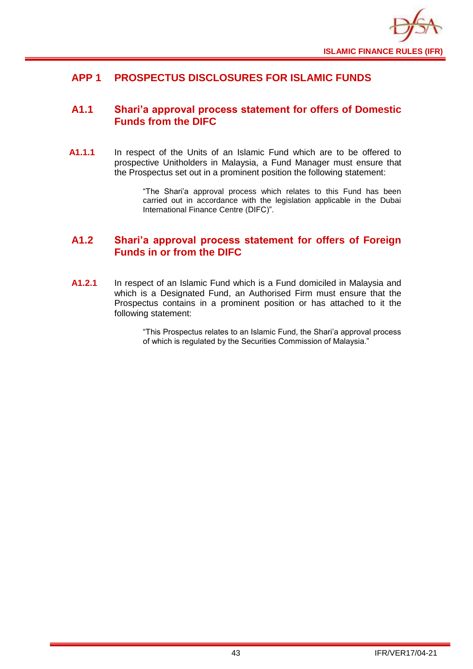

## <span id="page-45-0"></span>**APP 1 PROSPECTUS DISCLOSURES FOR ISLAMIC FUNDS**

## <span id="page-45-1"></span>**A1.1 Shari'a approval process statement for offers of Domestic Funds from the DIFC**

**A1.1.1** In respect of the Units of an Islamic Fund which are to be offered to prospective Unitholders in Malaysia, a Fund Manager must ensure that the Prospectus set out in a prominent position the following statement:

> "The Shari'a approval process which relates to this Fund has been carried out in accordance with the legislation applicable in the Dubai International Finance Centre (DIFC)".

## <span id="page-45-2"></span>**A1.2 Shari'a approval process statement for offers of Foreign Funds in or from the DIFC**

**A1.2.1** In respect of an Islamic Fund which is a Fund domiciled in Malaysia and which is a Designated Fund, an Authorised Firm must ensure that the Prospectus contains in a prominent position or has attached to it the following statement:

> "This Prospectus relates to an Islamic Fund, the Shari'a approval process of which is regulated by the Securities Commission of Malaysia."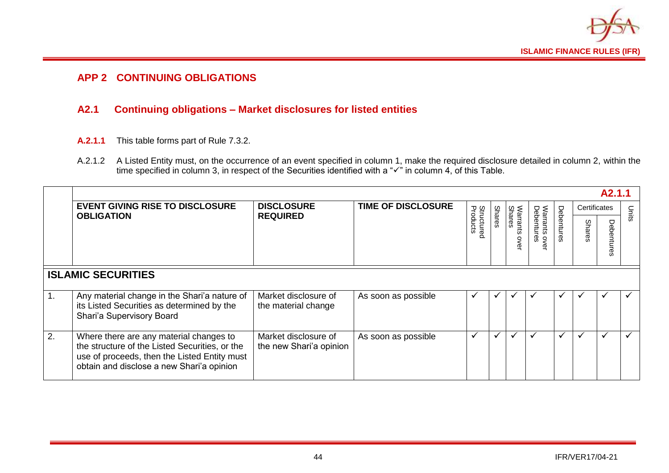

## **APP 2 CONTINUING OBLIGATIONS**

## **A2.1 Continuing obligations – Market disclosures for listed entities**

- **A.2.1.1** This table forms part of Rule 7.3.2.
- A.2.1.2 A Listed Entity must, on the occurrence of an event specified in column 1, make the required disclosure detailed in column 2, within the time specified in column 3, in respect of the Securities identified with a "✓" in column 4, of this Table.

<span id="page-46-1"></span><span id="page-46-0"></span>

|                  | A <sub>2.1.1</sub>                                                                                                                                                                     |                                                 |                           |                               |               |                   |                                          |            |              |              |              |
|------------------|----------------------------------------------------------------------------------------------------------------------------------------------------------------------------------------|-------------------------------------------------|---------------------------|-------------------------------|---------------|-------------------|------------------------------------------|------------|--------------|--------------|--------------|
|                  | <b>EVENT GIVING RISE TO DISCLOSURE</b>                                                                                                                                                 | <b>DISCLOSURE</b>                               | <b>TIME OF DISCLOSURE</b> |                               |               |                   |                                          |            | Certificates |              | Units        |
|                  | <b>OBLIGATION</b>                                                                                                                                                                      | <b>REQUIRED</b>                                 |                           | <b>Structured</b><br>Products | <b>Shares</b> | Shares<br>arrants | Warrants ov<br>Debentures<br><b>OVEL</b> | Debentures | Shares       | ヮ<br>ърс     |              |
|                  | <b>ISLAMIC SECURITIES</b>                                                                                                                                                              |                                                 |                           |                               |               |                   |                                          |            |              |              |              |
| $\overline{1}$ . | Any material change in the Shari'a nature of<br>its Listed Securities as determined by the<br>Shari'a Supervisory Board                                                                | Market disclosure of<br>the material change     | As soon as possible       | ✔                             | $\checkmark$  |                   | ັ                                        |            | ✔            | $\checkmark$ | ✔            |
| 2.               | Where there are any material changes to<br>the structure of the Listed Securities, or the<br>use of proceeds, then the Listed Entity must<br>obtain and disclose a new Shari'a opinion | Market disclosure of<br>the new Shari'a opinion | As soon as possible       | $\checkmark$                  | $\checkmark$  | ✔                 | ✓                                        |            | ✔            | $\checkmark$ | $\checkmark$ |